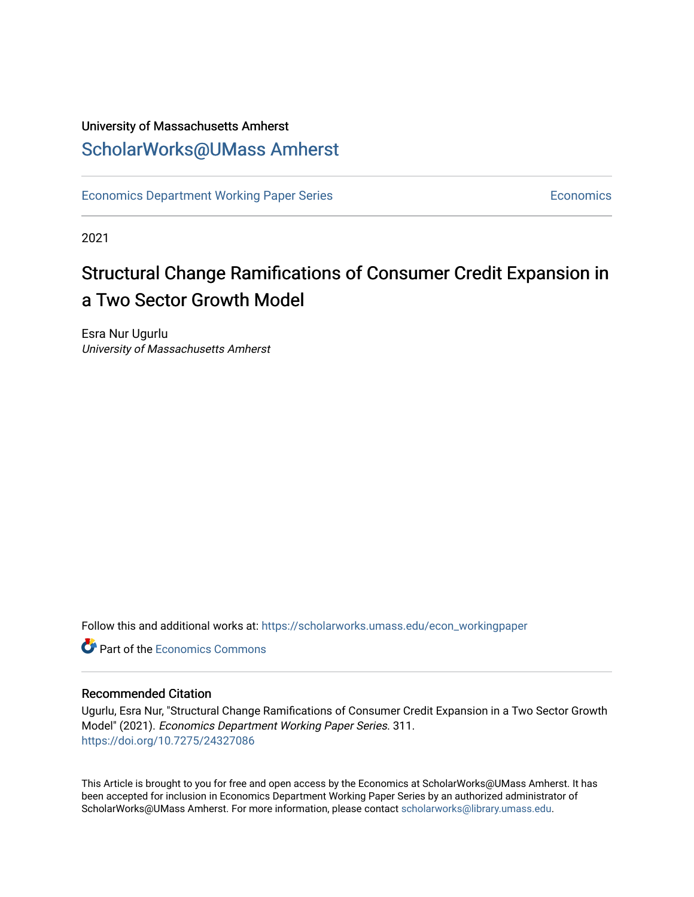## University of Massachusetts Amherst [ScholarWorks@UMass Amherst](https://scholarworks.umass.edu/)

[Economics Department Working Paper Series](https://scholarworks.umass.edu/econ_workingpaper) **Economics** [Economics](https://scholarworks.umass.edu/economics) Economics

2021

# Structural Change Ramifications of Consumer Credit Expansion in a Two Sector Growth Model

Esra Nur Ugurlu University of Massachusetts Amherst

Follow this and additional works at: [https://scholarworks.umass.edu/econ\\_workingpaper](https://scholarworks.umass.edu/econ_workingpaper?utm_source=scholarworks.umass.edu%2Fecon_workingpaper%2F311&utm_medium=PDF&utm_campaign=PDFCoverPages) 

**C** Part of the [Economics Commons](http://network.bepress.com/hgg/discipline/340?utm_source=scholarworks.umass.edu%2Fecon_workingpaper%2F311&utm_medium=PDF&utm_campaign=PDFCoverPages)

#### Recommended Citation

Ugurlu, Esra Nur, "Structural Change Ramifications of Consumer Credit Expansion in a Two Sector Growth Model" (2021). Economics Department Working Paper Series. 311. <https://doi.org/10.7275/24327086>

This Article is brought to you for free and open access by the Economics at ScholarWorks@UMass Amherst. It has been accepted for inclusion in Economics Department Working Paper Series by an authorized administrator of ScholarWorks@UMass Amherst. For more information, please contact [scholarworks@library.umass.edu.](mailto:scholarworks@library.umass.edu)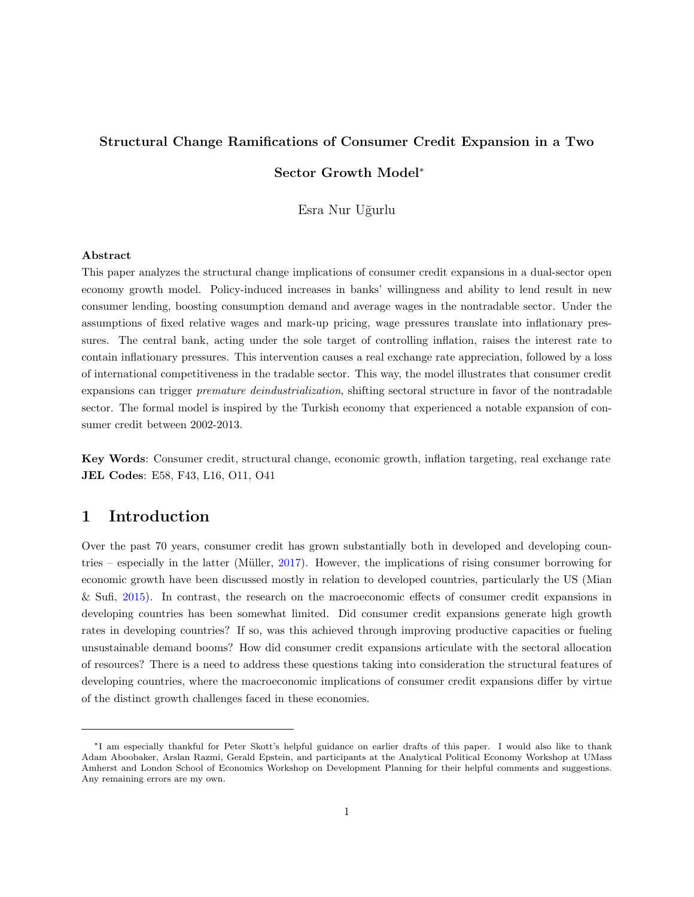## <span id="page-1-0"></span>Structural Change Ramifications of Consumer Credit Expansion in a Two

#### Sector Growth Model<sup>∗</sup>

Esra Nur Uğurlu

#### Abstract

This paper analyzes the structural change implications of consumer credit expansions in a dual-sector open economy growth model. Policy-induced increases in banks' willingness and ability to lend result in new consumer lending, boosting consumption demand and average wages in the nontradable sector. Under the assumptions of fixed relative wages and mark-up pricing, wage pressures translate into inflationary pressures. The central bank, acting under the sole target of controlling inflation, raises the interest rate to contain inflationary pressures. This intervention causes a real exchange rate appreciation, followed by a loss of international competitiveness in the tradable sector. This way, the model illustrates that consumer credit expansions can trigger premature deindustrialization, shifting sectoral structure in favor of the nontradable sector. The formal model is inspired by the Turkish economy that experienced a notable expansion of consumer credit between 2002-2013.

Key Words: Consumer credit, structural change, economic growth, inflation targeting, real exchange rate JEL Codes: E58, F43, L16, O11, O41

### 1 Introduction

Over the past 70 years, consumer credit has grown substantially both in developed and developing coun-tries – especially in the latter (Müller, [2017\)](#page-31-0). However, the implications of rising consumer borrowing for economic growth have been discussed mostly in relation to developed countries, particularly the US (Mian & Sufi, [2015\)](#page-31-1). In contrast, the research on the macroeconomic effects of consumer credit expansions in developing countries has been somewhat limited. Did consumer credit expansions generate high growth rates in developing countries? If so, was this achieved through improving productive capacities or fueling unsustainable demand booms? How did consumer credit expansions articulate with the sectoral allocation of resources? There is a need to address these questions taking into consideration the structural features of developing countries, where the macroeconomic implications of consumer credit expansions differ by virtue of the distinct growth challenges faced in these economies.

<sup>∗</sup> I am especially thankful for Peter Skott's helpful guidance on earlier drafts of this paper. I would also like to thank Adam Aboobaker, Arslan Razmi, Gerald Epstein, and participants at the Analytical Political Economy Workshop at UMass Amherst and London School of Economics Workshop on Development Planning for their helpful comments and suggestions. Any remaining errors are my own.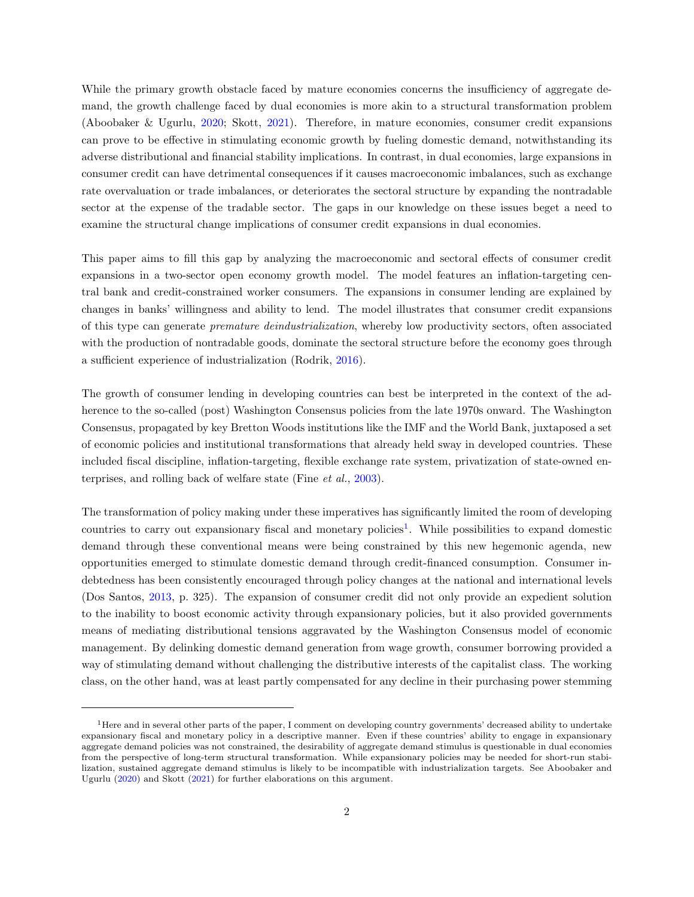While the primary growth obstacle faced by mature economies concerns the insufficiency of aggregate demand, the growth challenge faced by dual economies is more akin to a structural transformation problem (Aboobaker & Ugurlu, [2020;](#page-29-0) Skott, [2021\)](#page-32-0). Therefore, in mature economies, consumer credit expansions can prove to be effective in stimulating economic growth by fueling domestic demand, notwithstanding its adverse distributional and financial stability implications. In contrast, in dual economies, large expansions in consumer credit can have detrimental consequences if it causes macroeconomic imbalances, such as exchange rate overvaluation or trade imbalances, or deteriorates the sectoral structure by expanding the nontradable sector at the expense of the tradable sector. The gaps in our knowledge on these issues beget a need to examine the structural change implications of consumer credit expansions in dual economies.

This paper aims to fill this gap by analyzing the macroeconomic and sectoral effects of consumer credit expansions in a two-sector open economy growth model. The model features an inflation-targeting central bank and credit-constrained worker consumers. The expansions in consumer lending are explained by changes in banks' willingness and ability to lend. The model illustrates that consumer credit expansions of this type can generate premature deindustrialization, whereby low productivity sectors, often associated with the production of nontradable goods, dominate the sectoral structure before the economy goes through a sufficient experience of industrialization (Rodrik, [2016\)](#page-31-2).

The growth of consumer lending in developing countries can best be interpreted in the context of the adherence to the so-called (post) Washington Consensus policies from the late 1970s onward. The Washington Consensus, propagated by key Bretton Woods institutions like the IMF and the World Bank, juxtaposed a set of economic policies and institutional transformations that already held sway in developed countries. These included fiscal discipline, inflation-targeting, flexible exchange rate system, privatization of state-owned enterprises, and rolling back of welfare state (Fine et al., [2003\)](#page-30-0).

The transformation of policy making under these imperatives has significantly limited the room of developing countries to carry out expansionary fiscal and monetary policies<sup>[1](#page-1-0)</sup>. While possibilities to expand domestic demand through these conventional means were being constrained by this new hegemonic agenda, new opportunities emerged to stimulate domestic demand through credit-financed consumption. Consumer indebtedness has been consistently encouraged through policy changes at the national and international levels (Dos Santos, [2013,](#page-30-1) p. 325). The expansion of consumer credit did not only provide an expedient solution to the inability to boost economic activity through expansionary policies, but it also provided governments means of mediating distributional tensions aggravated by the Washington Consensus model of economic management. By delinking domestic demand generation from wage growth, consumer borrowing provided a way of stimulating demand without challenging the distributive interests of the capitalist class. The working class, on the other hand, was at least partly compensated for any decline in their purchasing power stemming

<sup>&</sup>lt;sup>1</sup>Here and in several other parts of the paper, I comment on developing country governments' decreased ability to undertake expansionary fiscal and monetary policy in a descriptive manner. Even if these countries' ability to engage in expansionary aggregate demand policies was not constrained, the desirability of aggregate demand stimulus is questionable in dual economies from the perspective of long-term structural transformation. While expansionary policies may be needed for short-run stabilization, sustained aggregate demand stimulus is likely to be incompatible with industrialization targets. See Aboobaker and Ugurlu [\(2020\)](#page-29-0) and Skott [\(2021\)](#page-32-0) for further elaborations on this argument.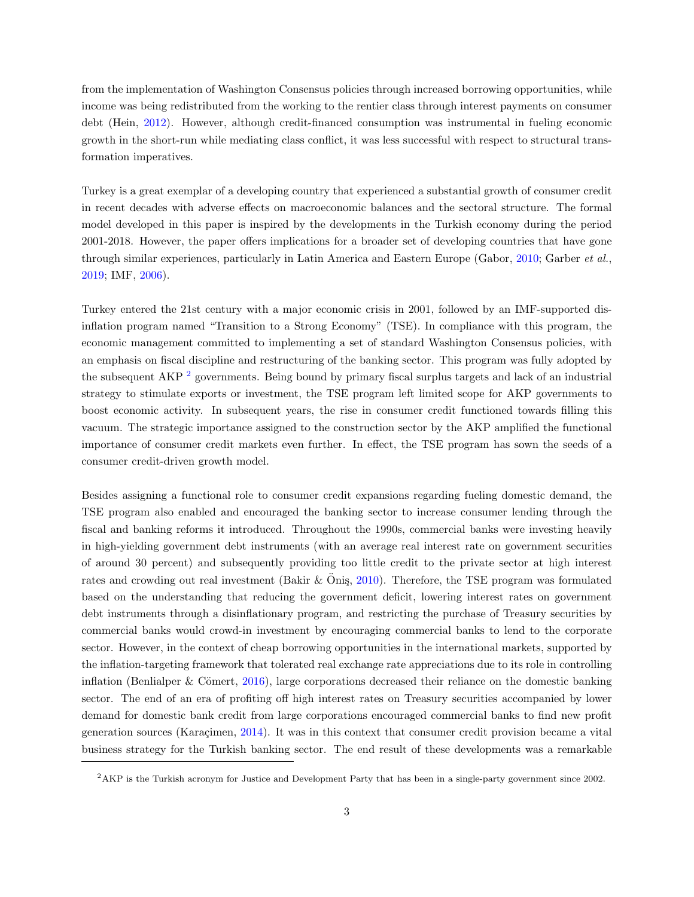from the implementation of Washington Consensus policies through increased borrowing opportunities, while income was being redistributed from the working to the rentier class through interest payments on consumer debt (Hein, [2012\)](#page-30-2). However, although credit-financed consumption was instrumental in fueling economic growth in the short-run while mediating class conflict, it was less successful with respect to structural transformation imperatives.

Turkey is a great exemplar of a developing country that experienced a substantial growth of consumer credit in recent decades with adverse effects on macroeconomic balances and the sectoral structure. The formal model developed in this paper is inspired by the developments in the Turkish economy during the period 2001-2018. However, the paper offers implications for a broader set of developing countries that have gone through similar experiences, particularly in Latin America and Eastern Europe (Gabor, [2010;](#page-30-3) Garber et al., [2019;](#page-30-4) IMF, [2006\)](#page-30-5).

Turkey entered the 21st century with a major economic crisis in 2001, followed by an IMF-supported disinflation program named "Transition to a Strong Economy" (TSE). In compliance with this program, the economic management committed to implementing a set of standard Washington Consensus policies, with an emphasis on fiscal discipline and restructuring of the banking sector. This program was fully adopted by the subsequent AKP<sup>[2](#page-1-0)</sup> governments. Being bound by primary fiscal surplus targets and lack of an industrial strategy to stimulate exports or investment, the TSE program left limited scope for AKP governments to boost economic activity. In subsequent years, the rise in consumer credit functioned towards filling this vacuum. The strategic importance assigned to the construction sector by the AKP amplified the functional importance of consumer credit markets even further. In effect, the TSE program has sown the seeds of a consumer credit-driven growth model.

Besides assigning a functional role to consumer credit expansions regarding fueling domestic demand, the TSE program also enabled and encouraged the banking sector to increase consumer lending through the fiscal and banking reforms it introduced. Throughout the 1990s, commercial banks were investing heavily in high-yielding government debt instruments (with an average real interest rate on government securities of around 30 percent) and subsequently providing too little credit to the private sector at high interest rates and crowding out real investment (Bakir  $&$  Onis, [2010\)](#page-29-1). Therefore, the TSE program was formulated based on the understanding that reducing the government deficit, lowering interest rates on government debt instruments through a disinflationary program, and restricting the purchase of Treasury securities by commercial banks would crowd-in investment by encouraging commercial banks to lend to the corporate sector. However, in the context of cheap borrowing opportunities in the international markets, supported by the inflation-targeting framework that tolerated real exchange rate appreciations due to its role in controlling inflation (Benlialper & Cömert,  $2016$ ), large corporations decreased their reliance on the domestic banking sector. The end of an era of profiting off high interest rates on Treasury securities accompanied by lower demand for domestic bank credit from large corporations encouraged commercial banks to find new profit generation sources (Karaçimen, [2014\)](#page-30-6). It was in this context that consumer credit provision became a vital business strategy for the Turkish banking sector. The end result of these developments was a remarkable

<sup>2</sup>AKP is the Turkish acronym for Justice and Development Party that has been in a single-party government since 2002.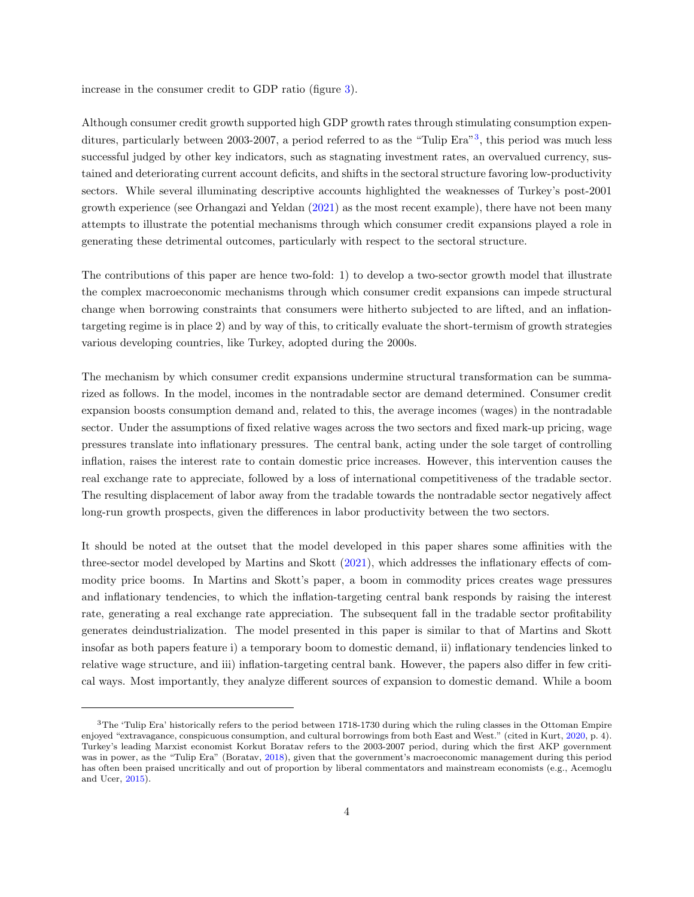increase in the consumer credit to GDP ratio (figure [3\)](#page-10-0).

Although consumer credit growth supported high GDP growth rates through stimulating consumption expen-ditures, particularly between 200[3](#page-1-0)-2007, a period referred to as the "Tulip Era"<sup>3</sup>, this period was much less successful judged by other key indicators, such as stagnating investment rates, an overvalued currency, sustained and deteriorating current account deficits, and shifts in the sectoral structure favoring low-productivity sectors. While several illuminating descriptive accounts highlighted the weaknesses of Turkey's post-2001 growth experience (see Orhangazi and Yeldan [\(2021\)](#page-31-3) as the most recent example), there have not been many attempts to illustrate the potential mechanisms through which consumer credit expansions played a role in generating these detrimental outcomes, particularly with respect to the sectoral structure.

The contributions of this paper are hence two-fold: 1) to develop a two-sector growth model that illustrate the complex macroeconomic mechanisms through which consumer credit expansions can impede structural change when borrowing constraints that consumers were hitherto subjected to are lifted, and an inflationtargeting regime is in place 2) and by way of this, to critically evaluate the short-termism of growth strategies various developing countries, like Turkey, adopted during the 2000s.

The mechanism by which consumer credit expansions undermine structural transformation can be summarized as follows. In the model, incomes in the nontradable sector are demand determined. Consumer credit expansion boosts consumption demand and, related to this, the average incomes (wages) in the nontradable sector. Under the assumptions of fixed relative wages across the two sectors and fixed mark-up pricing, wage pressures translate into inflationary pressures. The central bank, acting under the sole target of controlling inflation, raises the interest rate to contain domestic price increases. However, this intervention causes the real exchange rate to appreciate, followed by a loss of international competitiveness of the tradable sector. The resulting displacement of labor away from the tradable towards the nontradable sector negatively affect long-run growth prospects, given the differences in labor productivity between the two sectors.

It should be noted at the outset that the model developed in this paper shares some affinities with the three-sector model developed by Martins and Skott [\(2021\)](#page-31-4), which addresses the inflationary effects of commodity price booms. In Martins and Skott's paper, a boom in commodity prices creates wage pressures and inflationary tendencies, to which the inflation-targeting central bank responds by raising the interest rate, generating a real exchange rate appreciation. The subsequent fall in the tradable sector profitability generates deindustrialization. The model presented in this paper is similar to that of Martins and Skott insofar as both papers feature i) a temporary boom to domestic demand, ii) inflationary tendencies linked to relative wage structure, and iii) inflation-targeting central bank. However, the papers also differ in few critical ways. Most importantly, they analyze different sources of expansion to domestic demand. While a boom

<sup>&</sup>lt;sup>3</sup>The 'Tulip Era' historically refers to the period between 1718-1730 during which the ruling classes in the Ottoman Empire enjoyed "extravagance, conspicuous consumption, and cultural borrowings from both East and West." (cited in Kurt, [2020,](#page-31-5) p. 4). Turkey's leading Marxist economist Korkut Boratav refers to the 2003-2007 period, during which the first AKP government was in power, as the "Tulip Era" (Boratav, [2018\)](#page-29-3), given that the government's macroeconomic management during this period has often been praised uncritically and out of proportion by liberal commentators and mainstream economists (e.g., Acemoglu and Ucer, [2015\)](#page-29-4).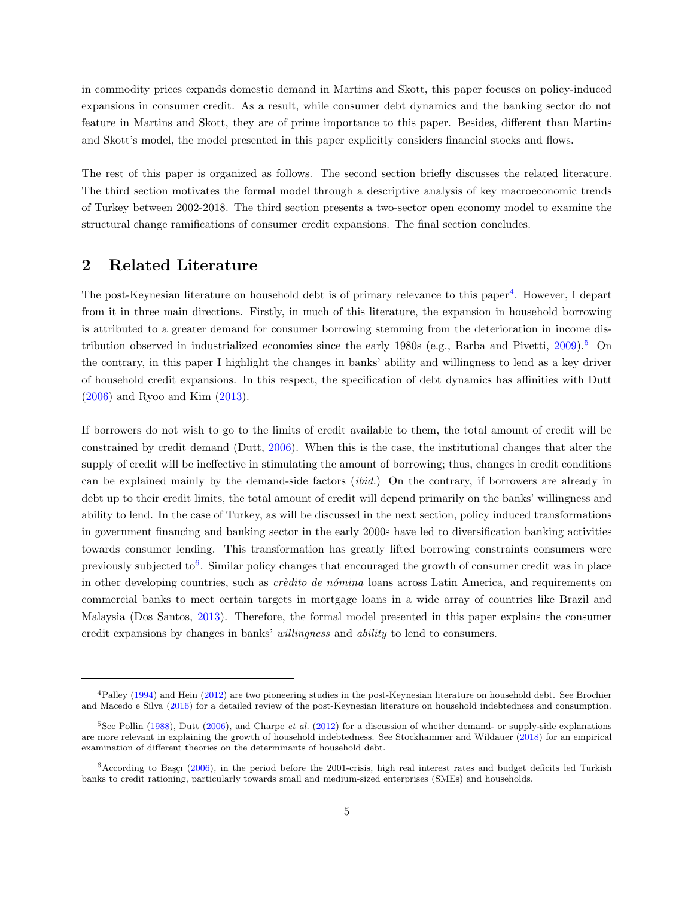in commodity prices expands domestic demand in Martins and Skott, this paper focuses on policy-induced expansions in consumer credit. As a result, while consumer debt dynamics and the banking sector do not feature in Martins and Skott, they are of prime importance to this paper. Besides, different than Martins and Skott's model, the model presented in this paper explicitly considers financial stocks and flows.

The rest of this paper is organized as follows. The second section briefly discusses the related literature. The third section motivates the formal model through a descriptive analysis of key macroeconomic trends of Turkey between 2002-2018. The third section presents a two-sector open economy model to examine the structural change ramifications of consumer credit expansions. The final section concludes.

#### 2 Related Literature

The post-Keynesian literature on household debt is of primary relevance to this paper<sup>[4](#page-1-0)</sup>. However, I depart from it in three main directions. Firstly, in much of this literature, the expansion in household borrowing is attributed to a greater demand for consumer borrowing stemming from the deterioration in income distribution observed in industrialized economies since the early 1980s (e.g., Barba and Pivetti,  $2009$ ).<sup>[5](#page-1-0)</sup> On the contrary, in this paper I highlight the changes in banks' ability and willingness to lend as a key driver of household credit expansions. In this respect, the specification of debt dynamics has affinities with Dutt [\(2006\)](#page-30-7) and Ryoo and Kim [\(2013\)](#page-31-6).

If borrowers do not wish to go to the limits of credit available to them, the total amount of credit will be constrained by credit demand (Dutt, [2006\)](#page-30-7). When this is the case, the institutional changes that alter the supply of credit will be ineffective in stimulating the amount of borrowing; thus, changes in credit conditions can be explained mainly by the demand-side factors (ibid.) On the contrary, if borrowers are already in debt up to their credit limits, the total amount of credit will depend primarily on the banks' willingness and ability to lend. In the case of Turkey, as will be discussed in the next section, policy induced transformations in government financing and banking sector in the early 2000s have led to diversification banking activities towards consumer lending. This transformation has greatly lifted borrowing constraints consumers were previously subjected to<sup>[6](#page-1-0)</sup>. Similar policy changes that encouraged the growth of consumer credit was in place in other developing countries, such as *crèdito de nómina* loans across Latin America, and requirements on commercial banks to meet certain targets in mortgage loans in a wide array of countries like Brazil and Malaysia (Dos Santos, [2013\)](#page-30-1). Therefore, the formal model presented in this paper explains the consumer credit expansions by changes in banks' willingness and ability to lend to consumers.

<sup>4</sup>Palley [\(1994\)](#page-31-7) and Hein [\(2012\)](#page-30-2) are two pioneering studies in the post-Keynesian literature on household debt. See Brochier and Macedo e Silva [\(2016\)](#page-30-8) for a detailed review of the post-Keynesian literature on household indebtedness and consumption.

 $5$ See Pollin [\(1988\)](#page-31-8), Dutt [\(2006\)](#page-30-7), and Charpe *et al.* [\(2012\)](#page-30-9) for a discussion of whether demand- or supply-side explanations are more relevant in explaining the growth of household indebtedness. See Stockhammer and Wildauer [\(2018\)](#page-32-1) for an empirical examination of different theories on the determinants of household debt.

 $6$ According to Başçı [\(2006\)](#page-29-6), in the period before the 2001-crisis, high real interest rates and budget deficits led Turkish banks to credit rationing, particularly towards small and medium-sized enterprises (SMEs) and households.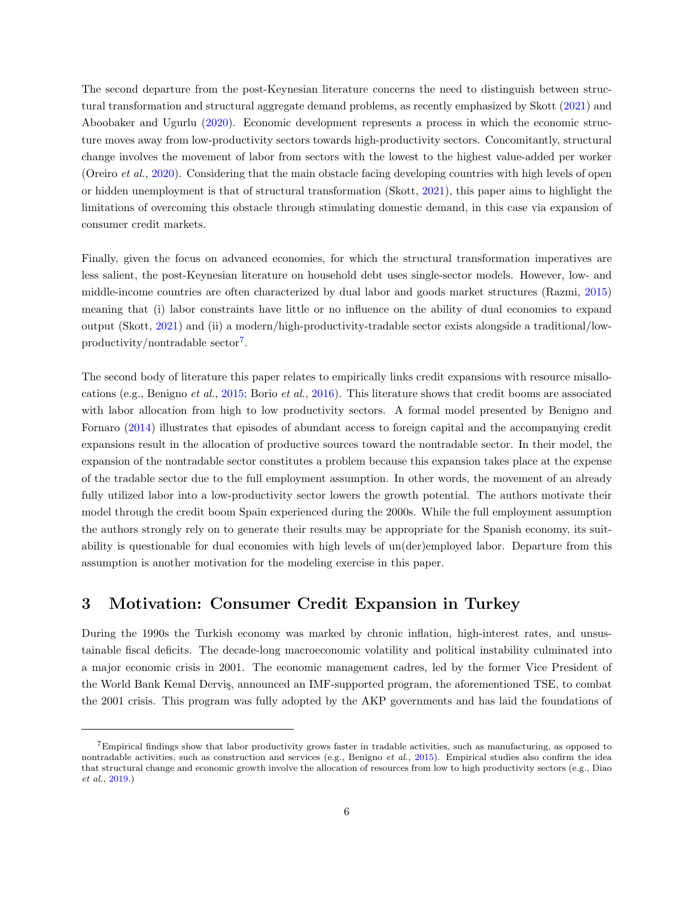The second departure from the post-Keynesian literature concerns the need to distinguish between structural transformation and structural aggregate demand problems, as recently emphasized by Skott [\(2021\)](#page-32-0) and Aboobaker and Ugurlu [\(2020\)](#page-29-0). Economic development represents a process in which the economic structure moves away from low-productivity sectors towards high-productivity sectors. Concomitantly, structural change involves the movement of labor from sectors with the lowest to the highest value-added per worker (Oreiro et al., [2020\)](#page-31-9). Considering that the main obstacle facing developing countries with high levels of open or hidden unemployment is that of structural transformation (Skott, [2021\)](#page-32-0), this paper aims to highlight the limitations of overcoming this obstacle through stimulating domestic demand, in this case via expansion of consumer credit markets.

Finally, given the focus on advanced economies, for which the structural transformation imperatives are less salient, the post-Keynesian literature on household debt uses single-sector models. However, low- and middle-income countries are often characterized by dual labor and goods market structures (Razmi, [2015\)](#page-31-10) meaning that (i) labor constraints have little or no influence on the ability of dual economies to expand output (Skott, [2021\)](#page-32-0) and (ii) a modern/high-productivity-tradable sector exists alongside a traditional/low-productivity/nontradable sector<sup>[7](#page-1-0)</sup>.

The second body of literature this paper relates to empirically links credit expansions with resource misallocations (e.g., Benigno et al., [2015;](#page-29-7) Borio et al., [2016\)](#page-29-8). This literature shows that credit booms are associated with labor allocation from high to low productivity sectors. A formal model presented by Benigno and Fornaro [\(2014\)](#page-29-9) illustrates that episodes of abundant access to foreign capital and the accompanying credit expansions result in the allocation of productive sources toward the nontradable sector. In their model, the expansion of the nontradable sector constitutes a problem because this expansion takes place at the expense of the tradable sector due to the full employment assumption. In other words, the movement of an already fully utilized labor into a low-productivity sector lowers the growth potential. The authors motivate their model through the credit boom Spain experienced during the 2000s. While the full employment assumption the authors strongly rely on to generate their results may be appropriate for the Spanish economy, its suitability is questionable for dual economies with high levels of un(der)employed labor. Departure from this assumption is another motivation for the modeling exercise in this paper.

## 3 Motivation: Consumer Credit Expansion in Turkey

During the 1990s the Turkish economy was marked by chronic inflation, high-interest rates, and unsustainable fiscal deficits. The decade-long macroeconomic volatility and political instability culminated into a major economic crisis in 2001. The economic management cadres, led by the former Vice President of the World Bank Kemal Dervis, announced an IMF-supported program, the aforementioned TSE, to combat the 2001 crisis. This program was fully adopted by the AKP governments and has laid the foundations of

<sup>7</sup>Empirical findings show that labor productivity grows faster in tradable activities, such as manufacturing, as opposed to nontradable activities, such as construction and services (e.g., Benigno et  $al$ , [2015\)](#page-29-7). Empirical studies also confirm the idea that structural change and economic growth involve the allocation of resources from low to high productivity sectors (e.g., Diao et al., [2019.](#page-30-10))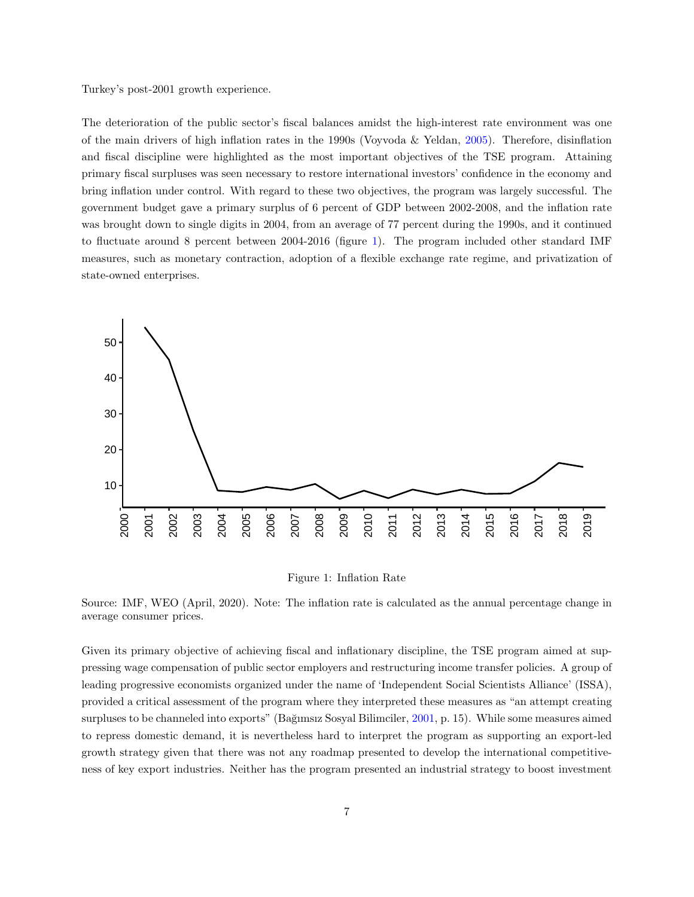Turkey's post-2001 growth experience.

The deterioration of the public sector's fiscal balances amidst the high-interest rate environment was one of the main drivers of high inflation rates in the 1990s (Voyvoda & Yeldan, [2005\)](#page-32-2). Therefore, disinflation and fiscal discipline were highlighted as the most important objectives of the TSE program. Attaining primary fiscal surpluses was seen necessary to restore international investors' confidence in the economy and bring inflation under control. With regard to these two objectives, the program was largely successful. The government budget gave a primary surplus of 6 percent of GDP between 2002-2008, and the inflation rate was brought down to single digits in 2004, from an average of 77 percent during the 1990s, and it continued to fluctuate around 8 percent between 2004-2016 (figure [1\)](#page-7-0). The program included other standard IMF measures, such as monetary contraction, adoption of a flexible exchange rate regime, and privatization of state-owned enterprises.

<span id="page-7-0"></span>

Figure 1: Inflation Rate

Source: IMF, WEO (April, 2020). Note: The inflation rate is calculated as the annual percentage change in average consumer prices.

Given its primary objective of achieving fiscal and inflationary discipline, the TSE program aimed at suppressing wage compensation of public sector employers and restructuring income transfer policies. A group of leading progressive economists organized under the name of 'Independent Social Scientists Alliance' (ISSA), provided a critical assessment of the program where they interpreted these measures as "an attempt creating surpluses to be channeled into exports" (Bağımsız Sosyal Bilimciler, [2001,](#page-29-10) p. 15). While some measures aimed to repress domestic demand, it is nevertheless hard to interpret the program as supporting an export-led growth strategy given that there was not any roadmap presented to develop the international competitiveness of key export industries. Neither has the program presented an industrial strategy to boost investment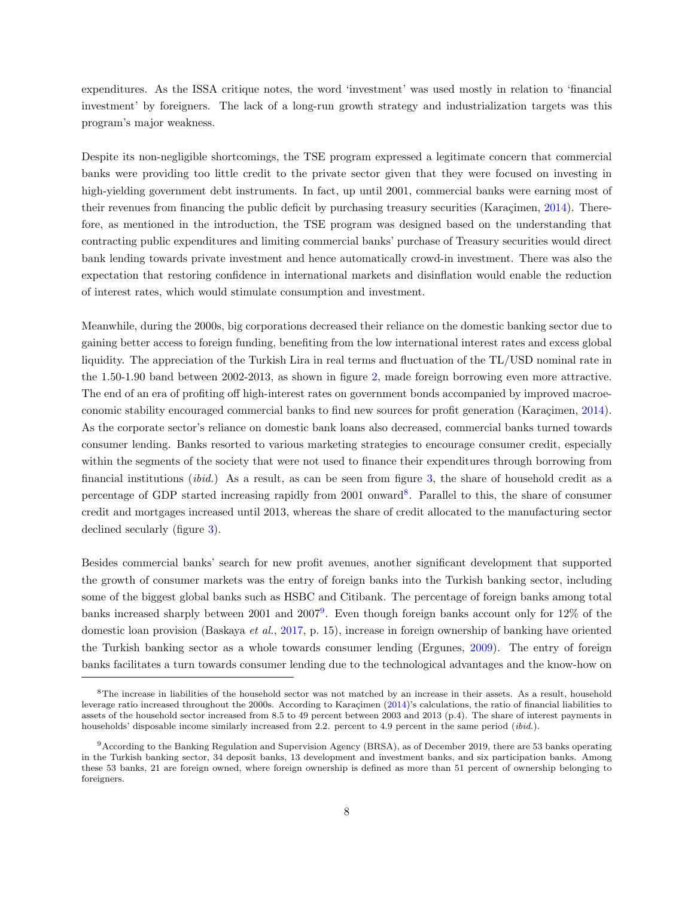expenditures. As the ISSA critique notes, the word 'investment' was used mostly in relation to 'financial investment' by foreigners. The lack of a long-run growth strategy and industrialization targets was this program's major weakness.

Despite its non-negligible shortcomings, the TSE program expressed a legitimate concern that commercial banks were providing too little credit to the private sector given that they were focused on investing in high-yielding government debt instruments. In fact, up until 2001, commercial banks were earning most of their revenues from financing the public deficit by purchasing treasury securities (Karaçimen,  $2014$ ). Therefore, as mentioned in the introduction, the TSE program was designed based on the understanding that contracting public expenditures and limiting commercial banks' purchase of Treasury securities would direct bank lending towards private investment and hence automatically crowd-in investment. There was also the expectation that restoring confidence in international markets and disinflation would enable the reduction of interest rates, which would stimulate consumption and investment.

Meanwhile, during the 2000s, big corporations decreased their reliance on the domestic banking sector due to gaining better access to foreign funding, benefiting from the low international interest rates and excess global liquidity. The appreciation of the Turkish Lira in real terms and fluctuation of the TL/USD nominal rate in the 1.50-1.90 band between 2002-2013, as shown in figure [2,](#page-9-0) made foreign borrowing even more attractive. The end of an era of profiting off high-interest rates on government bonds accompanied by improved macroe-conomic stability encouraged commercial banks to find new sources for profit generation (Karaçimen, [2014\)](#page-30-6). As the corporate sector's reliance on domestic bank loans also decreased, commercial banks turned towards consumer lending. Banks resorted to various marketing strategies to encourage consumer credit, especially within the segments of the society that were not used to finance their expenditures through borrowing from financial institutions (ibid.) As a result, as can be seen from figure [3,](#page-10-0) the share of household credit as a percentage of GDP started increasing rapidly from 2001 onward<sup>[8](#page-1-0)</sup>. Parallel to this, the share of consumer credit and mortgages increased until 2013, whereas the share of credit allocated to the manufacturing sector declined secularly (figure [3\)](#page-10-0).

Besides commercial banks' search for new profit avenues, another significant development that supported the growth of consumer markets was the entry of foreign banks into the Turkish banking sector, including some of the biggest global banks such as HSBC and Citibank. The percentage of foreign banks among total banks increased sharply between 2001 and 2007<sup>[9](#page-1-0)</sup>. Even though foreign banks account only for 12% of the domestic loan provision (Baskaya et al., [2017,](#page-29-11) p. 15), increase in foreign ownership of banking have oriented the Turkish banking sector as a whole towards consumer lending (Ergunes, [2009\)](#page-30-11). The entry of foreign banks facilitates a turn towards consumer lending due to the technological advantages and the know-how on

<sup>8</sup>The increase in liabilities of the household sector was not matched by an increase in their assets. As a result, household leverage ratio increased throughout the 2000s. According to Karaçimen [\(2014\)](#page-30-6)'s calculations, the ratio of financial liabilities to assets of the household sector increased from 8.5 to 49 percent between 2003 and 2013 (p.4). The share of interest payments in households' disposable income similarly increased from 2.2. percent to 4.9 percent in the same period (ibid.).

<sup>9</sup>According to the Banking Regulation and Supervision Agency (BRSA), as of December 2019, there are 53 banks operating in the Turkish banking sector, 34 deposit banks, 13 development and investment banks, and six participation banks. Among these 53 banks, 21 are foreign owned, where foreign ownership is defined as more than 51 percent of ownership belonging to foreigners.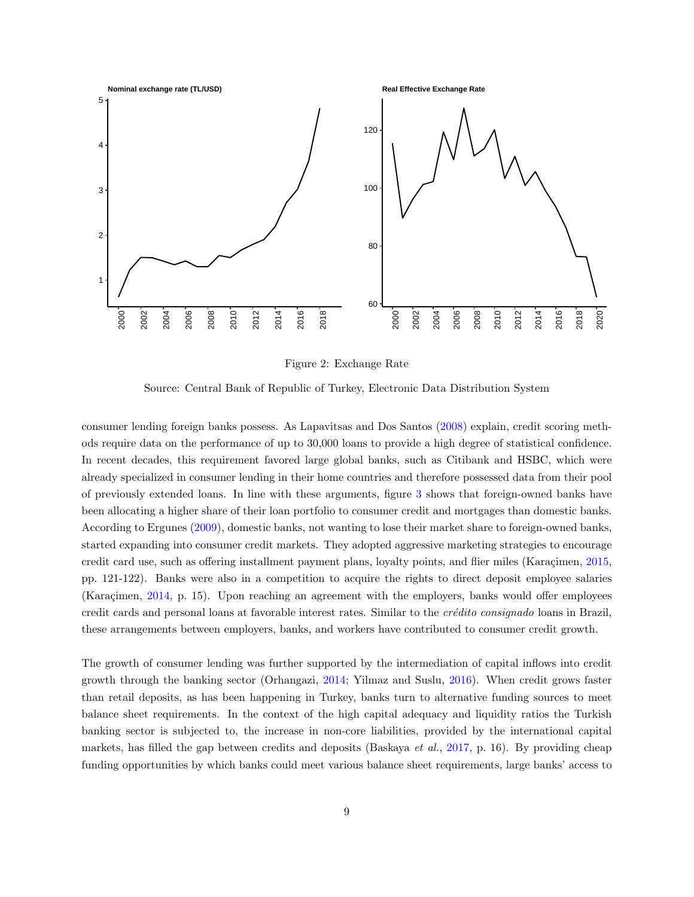<span id="page-9-0"></span>

Figure 2: Exchange Rate

Source: Central Bank of Republic of Turkey, Electronic Data Distribution System

consumer lending foreign banks possess. As Lapavitsas and Dos Santos [\(2008\)](#page-31-11) explain, credit scoring methods require data on the performance of up to 30,000 loans to provide a high degree of statistical confidence. In recent decades, this requirement favored large global banks, such as Citibank and HSBC, which were already specialized in consumer lending in their home countries and therefore possessed data from their pool of previously extended loans. In line with these arguments, figure [3](#page-10-0) shows that foreign-owned banks have been allocating a higher share of their loan portfolio to consumer credit and mortgages than domestic banks. According to Ergunes [\(2009\)](#page-30-11), domestic banks, not wanting to lose their market share to foreign-owned banks, started expanding into consumer credit markets. They adopted aggressive marketing strategies to encourage credit card use, such as offering installment payment plans, loyalty points, and flier miles (Karaçimen, [2015,](#page-31-12) pp. 121-122). Banks were also in a competition to acquire the rights to direct deposit employee salaries (Karaçimen, [2014,](#page-30-6) p. 15). Upon reaching an agreement with the employers, banks would offer employees credit cards and personal loans at favorable interest rates. Similar to the *crédito consignado* loans in Brazil, these arrangements between employers, banks, and workers have contributed to consumer credit growth.

The growth of consumer lending was further supported by the intermediation of capital inflows into credit growth through the banking sector (Orhangazi, [2014;](#page-31-13) Yilmaz and Suslu, [2016\)](#page-32-3). When credit grows faster than retail deposits, as has been happening in Turkey, banks turn to alternative funding sources to meet balance sheet requirements. In the context of the high capital adequacy and liquidity ratios the Turkish banking sector is subjected to, the increase in non-core liabilities, provided by the international capital markets, has filled the gap between credits and deposits (Baskaya *et al.*, [2017,](#page-29-11) p. 16). By providing cheap funding opportunities by which banks could meet various balance sheet requirements, large banks' access to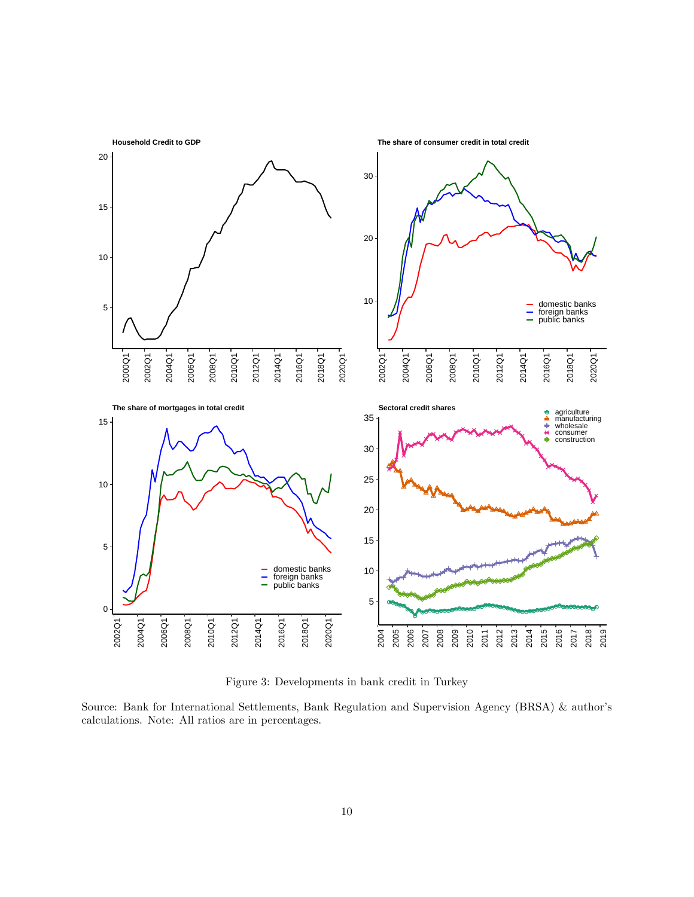<span id="page-10-0"></span>

Figure 3: Developments in bank credit in Turkey

Source: Bank for International Settlements, Bank Regulation and Supervision Agency (BRSA) & author's calculations. Note: All ratios are in percentages.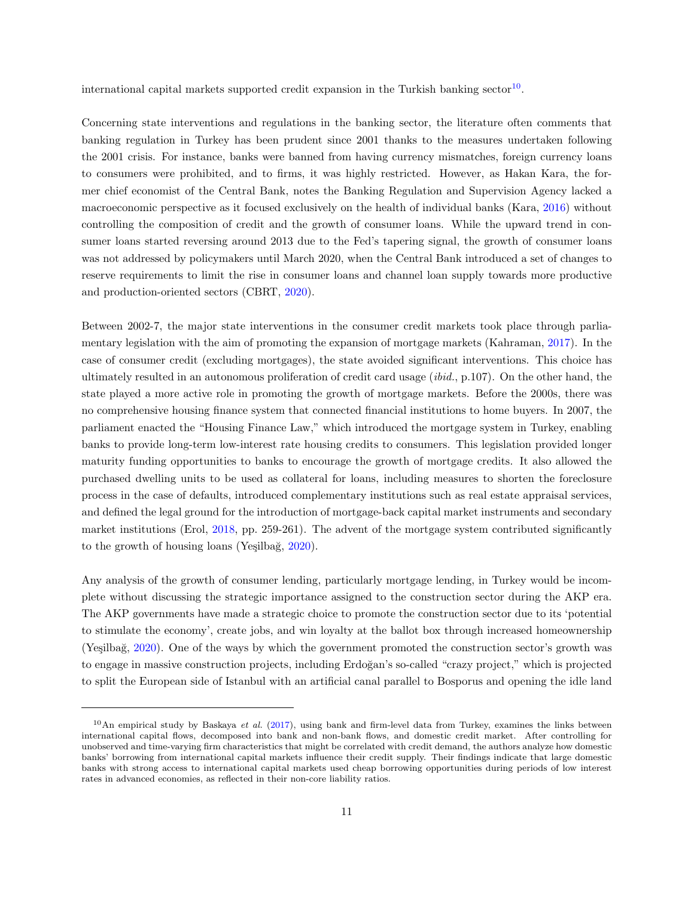international capital markets supported credit expansion in the Turkish banking sector<sup>[10](#page-1-0)</sup>.

Concerning state interventions and regulations in the banking sector, the literature often comments that banking regulation in Turkey has been prudent since 2001 thanks to the measures undertaken following the 2001 crisis. For instance, banks were banned from having currency mismatches, foreign currency loans to consumers were prohibited, and to firms, it was highly restricted. However, as Hakan Kara, the former chief economist of the Central Bank, notes the Banking Regulation and Supervision Agency lacked a macroeconomic perspective as it focused exclusively on the health of individual banks (Kara, [2016\)](#page-30-12) without controlling the composition of credit and the growth of consumer loans. While the upward trend in consumer loans started reversing around 2013 due to the Fed's tapering signal, the growth of consumer loans was not addressed by policymakers until March 2020, when the Central Bank introduced a set of changes to reserve requirements to limit the rise in consumer loans and channel loan supply towards more productive and production-oriented sectors (CBRT, [2020\)](#page-30-13).

Between 2002-7, the major state interventions in the consumer credit markets took place through parliamentary legislation with the aim of promoting the expansion of mortgage markets (Kahraman, [2017\)](#page-30-14). In the case of consumer credit (excluding mortgages), the state avoided significant interventions. This choice has ultimately resulted in an autonomous proliferation of credit card usage (ibid., p.107). On the other hand, the state played a more active role in promoting the growth of mortgage markets. Before the 2000s, there was no comprehensive housing finance system that connected financial institutions to home buyers. In 2007, the parliament enacted the "Housing Finance Law," which introduced the mortgage system in Turkey, enabling banks to provide long-term low-interest rate housing credits to consumers. This legislation provided longer maturity funding opportunities to banks to encourage the growth of mortgage credits. It also allowed the purchased dwelling units to be used as collateral for loans, including measures to shorten the foreclosure process in the case of defaults, introduced complementary institutions such as real estate appraisal services, and defined the legal ground for the introduction of mortgage-back capital market instruments and secondary market institutions (Erol, [2018,](#page-30-15) pp. 259-261). The advent of the mortgage system contributed significantly to the growth of housing loans (Yeşilbağ,  $2020$ ).

Any analysis of the growth of consumer lending, particularly mortgage lending, in Turkey would be incomplete without discussing the strategic importance assigned to the construction sector during the AKP era. The AKP governments have made a strategic choice to promote the construction sector due to its 'potential to stimulate the economy', create jobs, and win loyalty at the ballot box through increased homeownership (Yeşilbağ, [2020\)](#page-32-4). One of the ways by which the government promoted the construction sector's growth was to engage in massive construction projects, including Erdoğan's so-called "crazy project," which is projected to split the European side of Istanbul with an artificial canal parallel to Bosporus and opening the idle land

 $10$ An empirical study by Baskaya et al. [\(2017\)](#page-29-11), using bank and firm-level data from Turkey, examines the links between international capital flows, decomposed into bank and non-bank flows, and domestic credit market. After controlling for unobserved and time-varying firm characteristics that might be correlated with credit demand, the authors analyze how domestic banks' borrowing from international capital markets influence their credit supply. Their findings indicate that large domestic banks with strong access to international capital markets used cheap borrowing opportunities during periods of low interest rates in advanced economies, as reflected in their non-core liability ratios.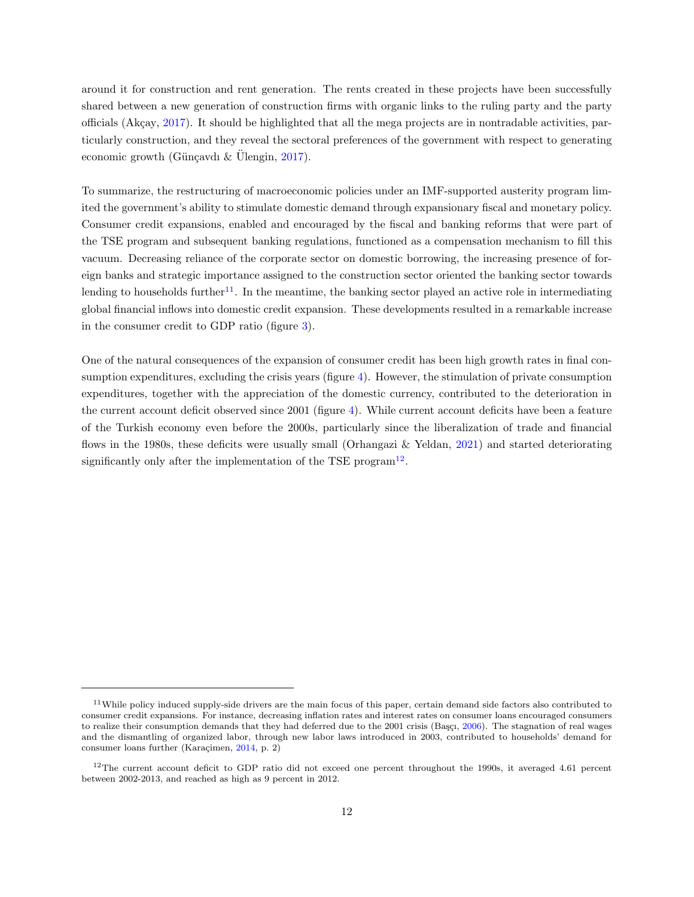around it for construction and rent generation. The rents created in these projects have been successfully shared between a new generation of construction firms with organic links to the ruling party and the party officials (Akçay,  $2017$ ). It should be highlighted that all the mega projects are in nontradable activities, particularly construction, and they reveal the sectoral preferences of the government with respect to generating economic growth (Günçavdı & Ulengin,  $2017$ ).

To summarize, the restructuring of macroeconomic policies under an IMF-supported austerity program limited the government's ability to stimulate domestic demand through expansionary fiscal and monetary policy. Consumer credit expansions, enabled and encouraged by the fiscal and banking reforms that were part of the TSE program and subsequent banking regulations, functioned as a compensation mechanism to fill this vacuum. Decreasing reliance of the corporate sector on domestic borrowing, the increasing presence of foreign banks and strategic importance assigned to the construction sector oriented the banking sector towards lending to households further<sup>[11](#page-1-0)</sup>. In the meantime, the banking sector played an active role in intermediating global financial inflows into domestic credit expansion. These developments resulted in a remarkable increase in the consumer credit to GDP ratio (figure [3\)](#page-10-0).

One of the natural consequences of the expansion of consumer credit has been high growth rates in final consumption expenditures, excluding the crisis years (figure [4\)](#page-13-0). However, the stimulation of private consumption expenditures, together with the appreciation of the domestic currency, contributed to the deterioration in the current account deficit observed since 2001 (figure [4\)](#page-13-0). While current account deficits have been a feature of the Turkish economy even before the 2000s, particularly since the liberalization of trade and financial flows in the 1980s, these deficits were usually small (Orhangazi & Yeldan, [2021\)](#page-31-3) and started deteriorating significantly only after the implementation of the TSE program<sup>[12](#page-1-0)</sup>.

 $11$ While policy induced supply-side drivers are the main focus of this paper, certain demand side factors also contributed to consumer credit expansions. For instance, decreasing inflation rates and interest rates on consumer loans encouraged consumers to realize their consumption demands that they had deferred due to the 2001 crisis (Başçı, [2006\)](#page-29-6). The stagnation of real wages and the dismantling of organized labor, through new labor laws introduced in 2003, contributed to households' demand for consumer loans further (Karaçimen, [2014,](#page-30-6) p. 2)

 $12$ The current account deficit to GDP ratio did not exceed one percent throughout the 1990s, it averaged 4.61 percent between 2002-2013, and reached as high as 9 percent in 2012.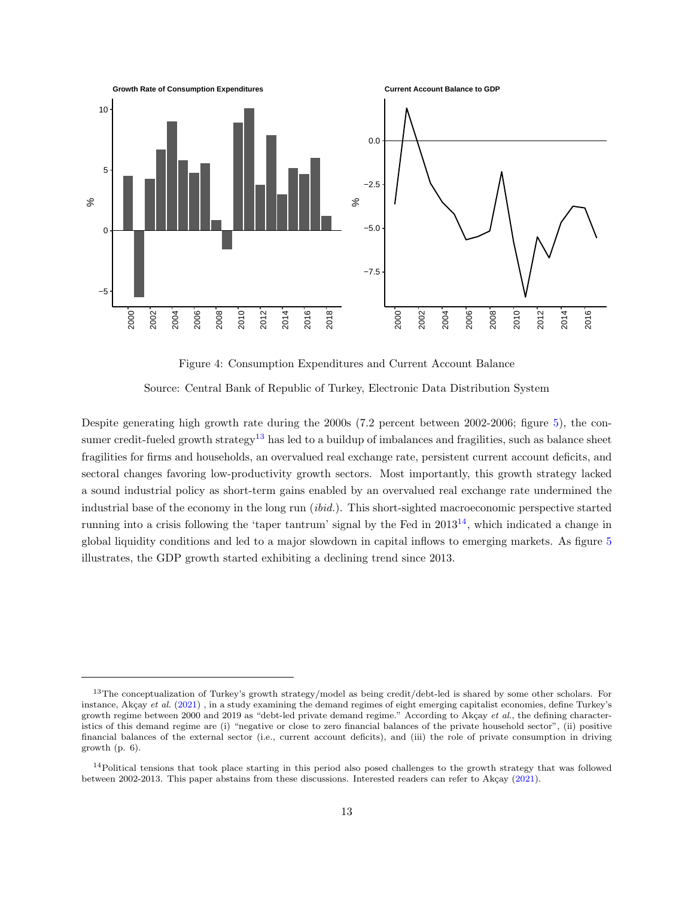<span id="page-13-0"></span>

Figure 4: Consumption Expenditures and Current Account Balance

Source: Central Bank of Republic of Turkey, Electronic Data Distribution System

Despite generating high growth rate during the 2000s (7.2 percent between 2002-2006; figure [5\)](#page-14-0), the con-sumer credit-fueled growth strategy<sup>[13](#page-1-0)</sup> has led to a buildup of imbalances and fragilities, such as balance sheet fragilities for firms and households, an overvalued real exchange rate, persistent current account deficits, and sectoral changes favoring low-productivity growth sectors. Most importantly, this growth strategy lacked a sound industrial policy as short-term gains enabled by an overvalued real exchange rate undermined the industrial base of the economy in the long run (ibid.). This short-sighted macroeconomic perspective started running into a crisis following the 'taper tantrum' signal by the Fed in  $2013^{14}$  $2013^{14}$  $2013^{14}$ , which indicated a change in global liquidity conditions and led to a major slowdown in capital inflows to emerging markets. As figure [5](#page-14-0) illustrates, the GDP growth started exhibiting a declining trend since 2013.

<sup>&</sup>lt;sup>13</sup>The conceptualization of Turkey's growth strategy/model as being credit/debt-led is shared by some other scholars. For instance, Akçay et al. [\(2021\)](#page-29-13), in a study examining the demand regimes of eight emerging capitalist economies, define Turkey's growth regime between 2000 and 2019 as "debt-led private demand regime." According to Akçay et al., the defining characteristics of this demand regime are (i) "negative or close to zero financial balances of the private household sector", (ii) positive financial balances of the external sector (i.e., current account deficits), and (iii) the role of private consumption in driving growth (p. 6).

<sup>&</sup>lt;sup>14</sup>Political tensions that took place starting in this period also posed challenges to the growth strategy that was followed between 2002-2013. This paper abstains from these discussions. Interested readers can refer to Akçay [\(2021\)](#page-29-14).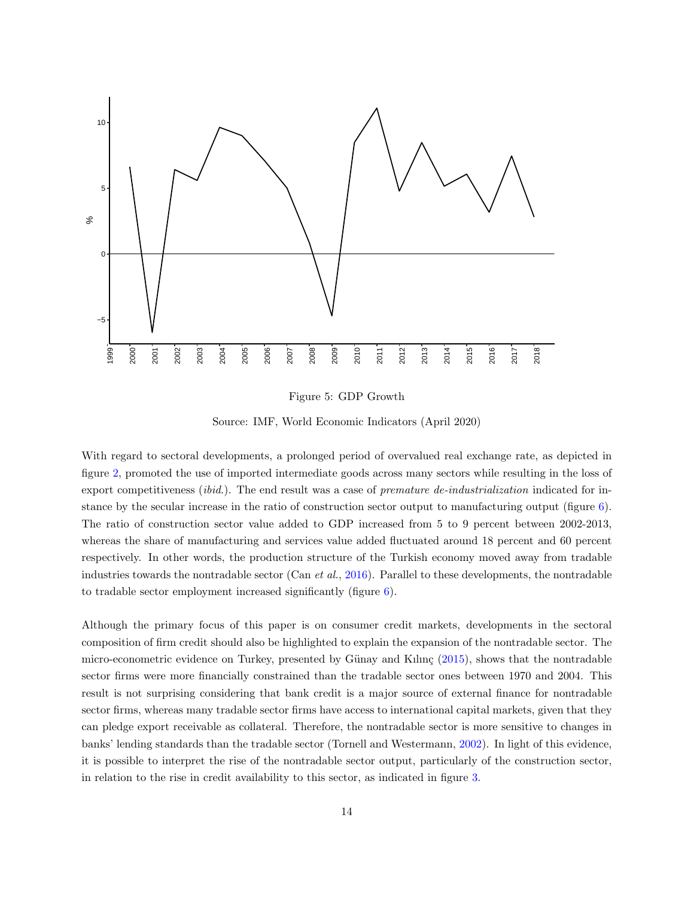<span id="page-14-0"></span>

Figure 5: GDP Growth

Source: IMF, World Economic Indicators (April 2020)

With regard to sectoral developments, a prolonged period of overvalued real exchange rate, as depicted in figure [2,](#page-9-0) promoted the use of imported intermediate goods across many sectors while resulting in the loss of export competitiveness *(ibid.)*. The end result was a case of *premature de-industrialization* indicated for instance by the secular increase in the ratio of construction sector output to manufacturing output (figure [6\)](#page-15-0). The ratio of construction sector value added to GDP increased from 5 to 9 percent between 2002-2013, whereas the share of manufacturing and services value added fluctuated around 18 percent and 60 percent respectively. In other words, the production structure of the Turkish economy moved away from tradable industries towards the nontradable sector (Can et al., [2016\)](#page-30-17). Parallel to these developments, the nontradable to tradable sector employment increased significantly (figure [6\)](#page-15-0).

Although the primary focus of this paper is on consumer credit markets, developments in the sectoral composition of firm credit should also be highlighted to explain the expansion of the nontradable sector. The micro-econometric evidence on Turkey, presented by Günay and Kılınç  $(2015)$ , shows that the nontradable sector firms were more financially constrained than the tradable sector ones between 1970 and 2004. This result is not surprising considering that bank credit is a major source of external finance for nontradable sector firms, whereas many tradable sector firms have access to international capital markets, given that they can pledge export receivable as collateral. Therefore, the nontradable sector is more sensitive to changes in banks' lending standards than the tradable sector (Tornell and Westermann, [2002\)](#page-32-5). In light of this evidence, it is possible to interpret the rise of the nontradable sector output, particularly of the construction sector, in relation to the rise in credit availability to this sector, as indicated in figure [3.](#page-10-0)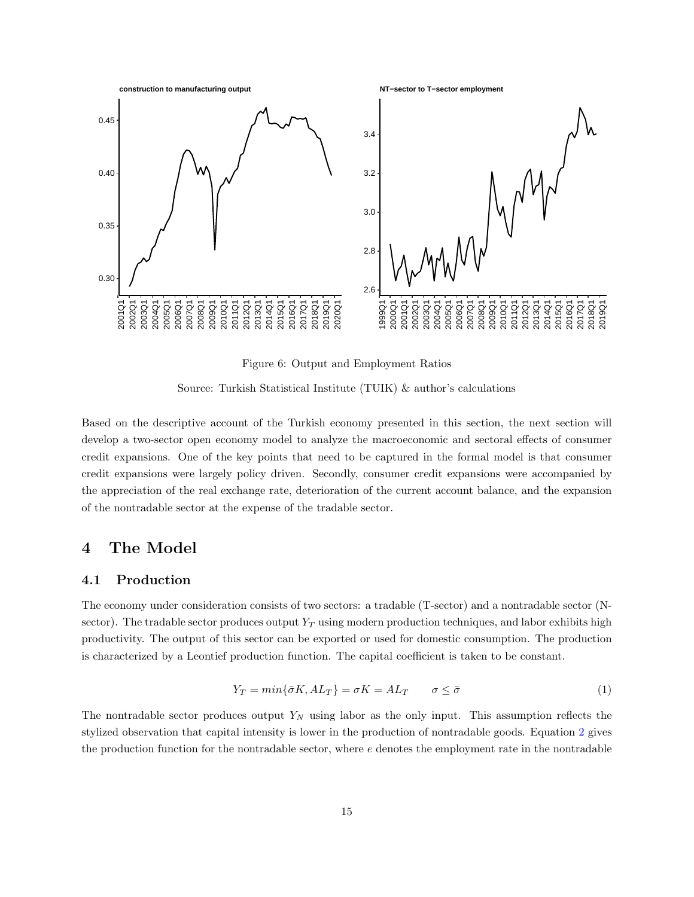<span id="page-15-0"></span>

Figure 6: Output and Employment Ratios

Source: Turkish Statistical Institute (TUIK) & author's calculations

Based on the descriptive account of the Turkish economy presented in this section, the next section will develop a two-sector open economy model to analyze the macroeconomic and sectoral effects of consumer credit expansions. One of the key points that need to be captured in the formal model is that consumer credit expansions were largely policy driven. Secondly, consumer credit expansions were accompanied by the appreciation of the real exchange rate, deterioration of the current account balance, and the expansion of the nontradable sector at the expense of the tradable sector.

## 4 The Model

#### 4.1 Production

The economy under consideration consists of two sectors: a tradable (T-sector) and a nontradable sector (Nsector). The tradable sector produces output  $Y_T$  using modern production techniques, and labor exhibits high productivity. The output of this sector can be exported or used for domestic consumption. The production is characterized by a Leontief production function. The capital coefficient is taken to be constant.

$$
Y_T = min\{\bar{\sigma}K, AL_T\} = \sigma K = AL_T \qquad \sigma \le \bar{\sigma}
$$
\n<sup>(1)</sup>

<span id="page-15-1"></span>The nontradable sector produces output  $Y_N$  using labor as the only input. This assumption reflects the stylized observation that capital intensity is lower in the production of nontradable goods. Equation [2](#page-16-0) gives the production function for the nontradable sector, where  $e$  denotes the employment rate in the nontradable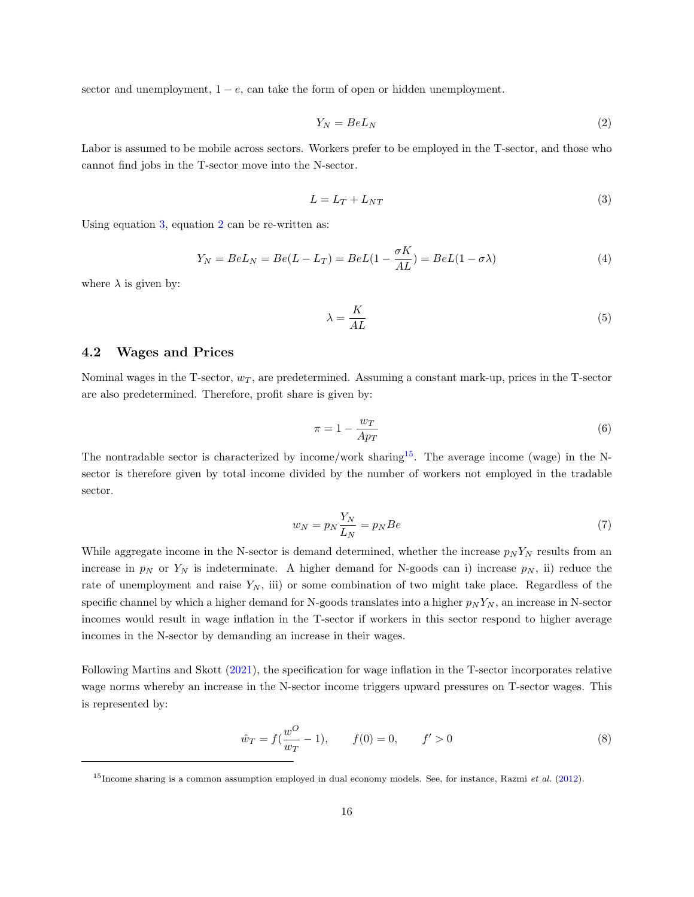<span id="page-16-0"></span>sector and unemployment,  $1 - e$ , can take the form of open or hidden unemployment.

$$
Y_N = BeL_N \tag{2}
$$

<span id="page-16-1"></span>Labor is assumed to be mobile across sectors. Workers prefer to be employed in the T-sector, and those who cannot find jobs in the T-sector move into the N-sector.

$$
L = L_T + L_{NT} \tag{3}
$$

<span id="page-16-2"></span>Using equation [3,](#page-16-1) equation [2](#page-16-0) can be re-written as:

$$
Y_N = BeL_N = Be(L - L_T) = BeL(1 - \frac{\sigma K}{AL}) = BeL(1 - \sigma \lambda)
$$
\n<sup>(4)</sup>

where  $\lambda$  is given by:

$$
\lambda = \frac{K}{AL} \tag{5}
$$

#### 4.2 Wages and Prices

<span id="page-16-3"></span>Nominal wages in the T-sector,  $w_T$ , are predetermined. Assuming a constant mark-up, prices in the T-sector are also predetermined. Therefore, profit share is given by:

$$
\pi = 1 - \frac{w_T}{A p_T} \tag{6}
$$

<span id="page-16-4"></span>The nontradable sector is characterized by income/work sharing<sup>[15](#page-1-0)</sup>. The average income (wage) in the Nsector is therefore given by total income divided by the number of workers not employed in the tradable sector.

$$
w_N = p_N \frac{Y_N}{L_N} = p_N B e \tag{7}
$$

While aggregate income in the N-sector is demand determined, whether the increase  $p_N Y_N$  results from an increase in  $p_N$  or  $Y_N$  is indeterminate. A higher demand for N-goods can i) increase  $p_N$ , ii) reduce the rate of unemployment and raise  $Y_N$ , iii) or some combination of two might take place. Regardless of the specific channel by which a higher demand for N-goods translates into a higher  $p_N Y_N$ , an increase in N-sector incomes would result in wage inflation in the T-sector if workers in this sector respond to higher average incomes in the N-sector by demanding an increase in their wages.

Following Martins and Skott [\(2021\)](#page-31-4), the specification for wage inflation in the T-sector incorporates relative wage norms whereby an increase in the N-sector income triggers upward pressures on T-sector wages. This is represented by:

$$
\hat{w}_T = f(\frac{w^O}{w_T} - 1), \qquad f(0) = 0, \qquad f' > 0
$$
\n(8)

 $15$ Income sharing is a common assumption employed in dual economy models. See, for instance, Razmi et al. [\(2012\)](#page-31-14).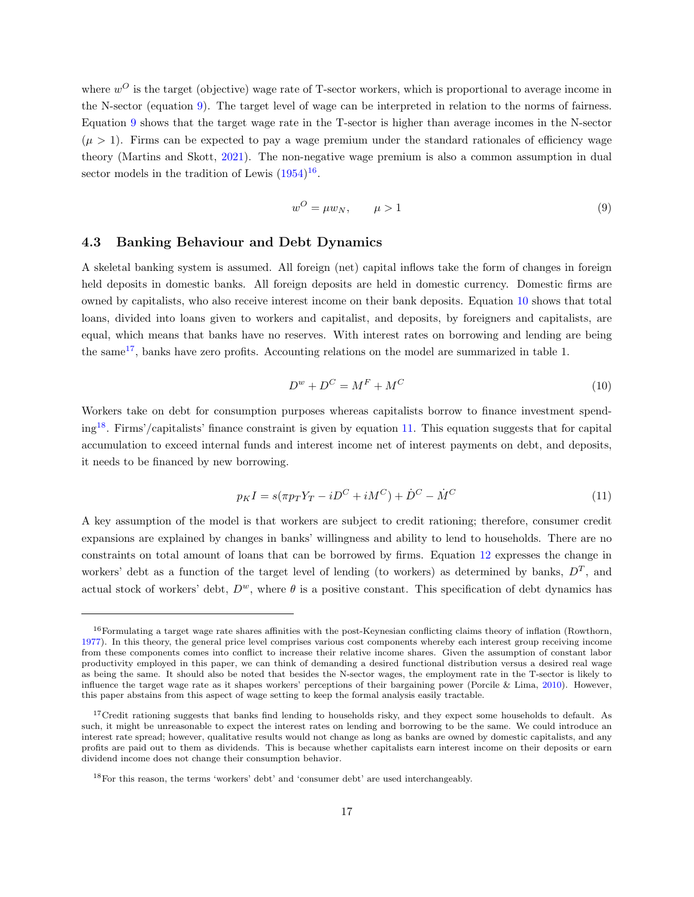where  $w^O$  is the target (objective) wage rate of T-sector workers, which is proportional to average income in the N-sector (equation [9\)](#page-17-0). The target level of wage can be interpreted in relation to the norms of fairness. Equation [9](#page-17-0) shows that the target wage rate in the T-sector is higher than average incomes in the N-sector  $(\mu > 1)$ . Firms can be expected to pay a wage premium under the standard rationales of efficiency wage theory (Martins and Skott, [2021\)](#page-31-4). The non-negative wage premium is also a common assumption in dual sector models in the tradition of Lewis  $(1954)^{16}$  $(1954)^{16}$  $(1954)^{16}$  $(1954)^{16}$ .

$$
w^O = \mu w_N, \qquad \mu > 1 \tag{9}
$$

#### <span id="page-17-0"></span>4.3 Banking Behaviour and Debt Dynamics

A skeletal banking system is assumed. All foreign (net) capital inflows take the form of changes in foreign held deposits in domestic banks. All foreign deposits are held in domestic currency. Domestic firms are owned by capitalists, who also receive interest income on their bank deposits. Equation [10](#page-17-1) shows that total loans, divided into loans given to workers and capitalist, and deposits, by foreigners and capitalists, are equal, which means that banks have no reserves. With interest rates on borrowing and lending are being the same[17](#page-1-0), banks have zero profits. Accounting relations on the model are summarized in table 1.

$$
D^w + D^C = M^F + M^C \tag{10}
$$

<span id="page-17-1"></span>Workers take on debt for consumption purposes whereas capitalists borrow to finance investment spend- $ing^{18}$  $ing^{18}$  $ing^{18}$ . Firms'/capitalists' finance constraint is given by equation [11.](#page-17-2) This equation suggests that for capital accumulation to exceed internal funds and interest income net of interest payments on debt, and deposits, it needs to be financed by new borrowing.

$$
p_K I = s(\pi p_T Y_T - iD^C + iM^C) + \dot{D}^C - \dot{M}^C \tag{11}
$$

<span id="page-17-2"></span>A key assumption of the model is that workers are subject to credit rationing; therefore, consumer credit expansions are explained by changes in banks' willingness and ability to lend to households. There are no constraints on total amount of loans that can be borrowed by firms. Equation [12](#page-18-0) expresses the change in workers' debt as a function of the target level of lending (to workers) as determined by banks,  $D<sup>T</sup>$ , and actual stock of workers' debt,  $D^w$ , where  $\theta$  is a positive constant. This specification of debt dynamics has

<sup>&</sup>lt;sup>16</sup>Formulating a target wage rate shares affinities with the post-Keynesian conflicting claims theory of inflation (Rowthorn, [1977\)](#page-31-16). In this theory, the general price level comprises various cost components whereby each interest group receiving income from these components comes into conflict to increase their relative income shares. Given the assumption of constant labor productivity employed in this paper, we can think of demanding a desired functional distribution versus a desired real wage as being the same. It should also be noted that besides the N-sector wages, the employment rate in the T-sector is likely to influence the target wage rate as it shapes workers' perceptions of their bargaining power (Porcile & Lima, [2010\)](#page-31-17). However, this paper abstains from this aspect of wage setting to keep the formal analysis easily tractable.

<sup>&</sup>lt;sup>17</sup>Credit rationing suggests that banks find lending to households risky, and they expect some households to default. As such, it might be unreasonable to expect the interest rates on lending and borrowing to be the same. We could introduce an interest rate spread; however, qualitative results would not change as long as banks are owned by domestic capitalists, and any profits are paid out to them as dividends. This is because whether capitalists earn interest income on their deposits or earn dividend income does not change their consumption behavior.

<sup>18</sup>For this reason, the terms 'workers' debt' and 'consumer debt' are used interchangeably.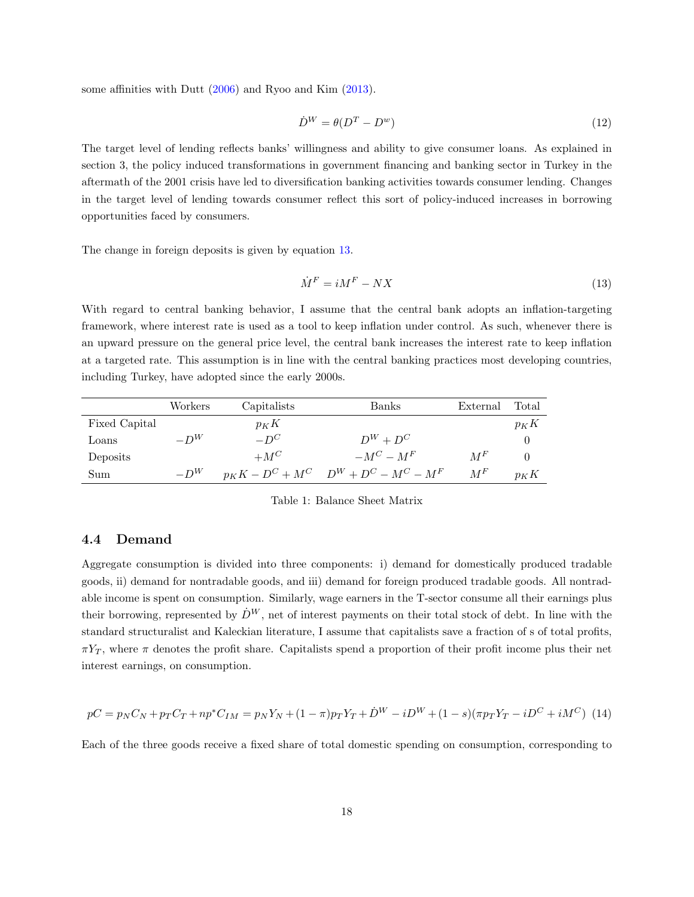<span id="page-18-0"></span>some affinities with Dutt [\(2006\)](#page-30-7) and Ryoo and Kim [\(2013\)](#page-31-6).

$$
\dot{D}^W = \theta(D^T - D^w) \tag{12}
$$

The target level of lending reflects banks' willingness and ability to give consumer loans. As explained in section 3, the policy induced transformations in government financing and banking sector in Turkey in the aftermath of the 2001 crisis have led to diversification banking activities towards consumer lending. Changes in the target level of lending towards consumer reflect this sort of policy-induced increases in borrowing opportunities faced by consumers.

<span id="page-18-1"></span>The change in foreign deposits is given by equation [13.](#page-18-1)

$$
\dot{M}^F = iM^F - NX\tag{13}
$$

With regard to central banking behavior, I assume that the central bank adopts an inflation-targeting framework, where interest rate is used as a tool to keep inflation under control. As such, whenever there is an upward pressure on the general price level, the central bank increases the interest rate to keep inflation at a targeted rate. This assumption is in line with the central banking practices most developing countries, including Turkey, have adopted since the early 2000s.

|               | Workers | Capitalists | Banks                                       | External | Total    |
|---------------|---------|-------------|---------------------------------------------|----------|----------|
| Fixed Capital |         | $p_K K$     |                                             |          | $p_K K$  |
| Loans         | $-D^W$  | $-D^C$      | $D^W + D^C$                                 |          | $\theta$ |
| Deposits      |         | $+M^C$      | $-M^C - M^F$                                | $M^F$    | $\Omega$ |
| Sum           | $-D^W$  |             | $p_K K - D^C + M^C$ $D^W + D^C - M^C - M^F$ | $M^F$    | $p_K K$  |

Table 1: Balance Sheet Matrix

#### 4.4 Demand

Aggregate consumption is divided into three components: i) demand for domestically produced tradable goods, ii) demand for nontradable goods, and iii) demand for foreign produced tradable goods. All nontradable income is spent on consumption. Similarly, wage earners in the T-sector consume all their earnings plus their borrowing, represented by  $\dot{D}^W$ , net of interest payments on their total stock of debt. In line with the standard structuralist and Kaleckian literature, I assume that capitalists save a fraction of s of total profits,  $\pi Y_T$ , where  $\pi$  denotes the profit share. Capitalists spend a proportion of their profit income plus their net interest earnings, on consumption.

<span id="page-18-2"></span>
$$
pC = p_N C_N + p_T C_T + np^* C_{IM} = p_N Y_N + (1 - \pi) p_T Y_T + \dot{D}^W - i D^W + (1 - s) (\pi p_T Y_T - i D^C + i M^C)
$$
 (14)

Each of the three goods receive a fixed share of total domestic spending on consumption, corresponding to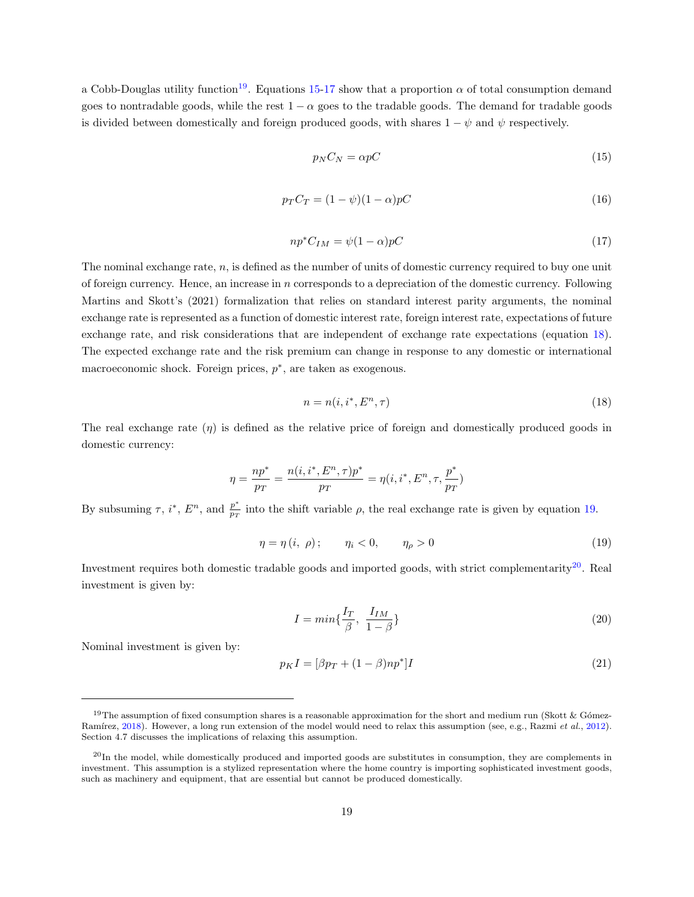<span id="page-19-0"></span>a Cobb-Douglas utility function<sup>[19](#page-1-0)</sup>. Equations [15-](#page-19-0)[17](#page-19-1) show that a proportion  $\alpha$  of total consumption demand goes to nontradable goods, while the rest  $1 - \alpha$  goes to the tradable goods. The demand for tradable goods is divided between domestically and foreign produced goods, with shares  $1 - \psi$  and  $\psi$  respectively.

$$
p_N C_N = \alpha p C \tag{15}
$$

$$
p_T C_T = (1 - \psi)(1 - \alpha)pC \tag{16}
$$

$$
np^*C_{IM} = \psi(1-\alpha)pC \tag{17}
$$

<span id="page-19-1"></span>The nominal exchange rate, n, is defined as the number of units of domestic currency required to buy one unit of foreign currency. Hence, an increase in n corresponds to a depreciation of the domestic currency. Following Martins and Skott's (2021) formalization that relies on standard interest parity arguments, the nominal exchange rate is represented as a function of domestic interest rate, foreign interest rate, expectations of future exchange rate, and risk considerations that are independent of exchange rate expectations (equation [18\)](#page-19-2). The expected exchange rate and the risk premium can change in response to any domestic or international macroeconomic shock. Foreign prices,  $p^*$ , are taken as exogenous.

$$
n = n(i, i^*, E^n, \tau) \tag{18}
$$

<span id="page-19-2"></span>The real exchange rate  $(\eta)$  is defined as the relative price of foreign and domestically produced goods in domestic currency:

$$
\eta = \frac{np^*}{p_T} = \frac{n(i, i^*, E^n, \tau) p^*}{p_T} = \eta(i, i^*, E^n, \tau, \frac{p^*}{p_T})
$$

<span id="page-19-3"></span>By subsuming  $\tau$ ,  $i^*$ ,  $E^n$ , and  $\frac{p^*}{n^*}$  $\frac{p}{p_T}$  into the shift variable  $\rho$ , the real exchange rate is given by equation [19.](#page-19-3)

$$
\eta = \eta(i, \rho); \qquad \eta_i < 0, \qquad \eta_\rho > 0 \tag{19}
$$

Investment requires both domestic tradable goods and imported goods, with strict complementarity<sup>[20](#page-1-0)</sup>. Real investment is given by:

$$
I = min\{\frac{I_T}{\beta}, \frac{I_{IM}}{1 - \beta}\}\tag{20}
$$

Nominal investment is given by:

<span id="page-19-4"></span>
$$
p_K I = [\beta p_T + (1 - \beta)np^*]I \tag{21}
$$

<sup>&</sup>lt;sup>19</sup>The assumption of fixed consumption shares is a reasonable approximation for the short and medium run (Skott & Gómez-Ramírez, [2018\)](#page-32-6). However, a long run extension of the model would need to relax this assumption (see, e.g., Razmi et al., [2012\)](#page-31-14). Section 4.7 discusses the implications of relaxing this assumption.

 $^{20}$ In the model, while domestically produced and imported goods are substitutes in consumption, they are complements in investment. This assumption is a stylized representation where the home country is importing sophisticated investment goods, such as machinery and equipment, that are essential but cannot be produced domestically.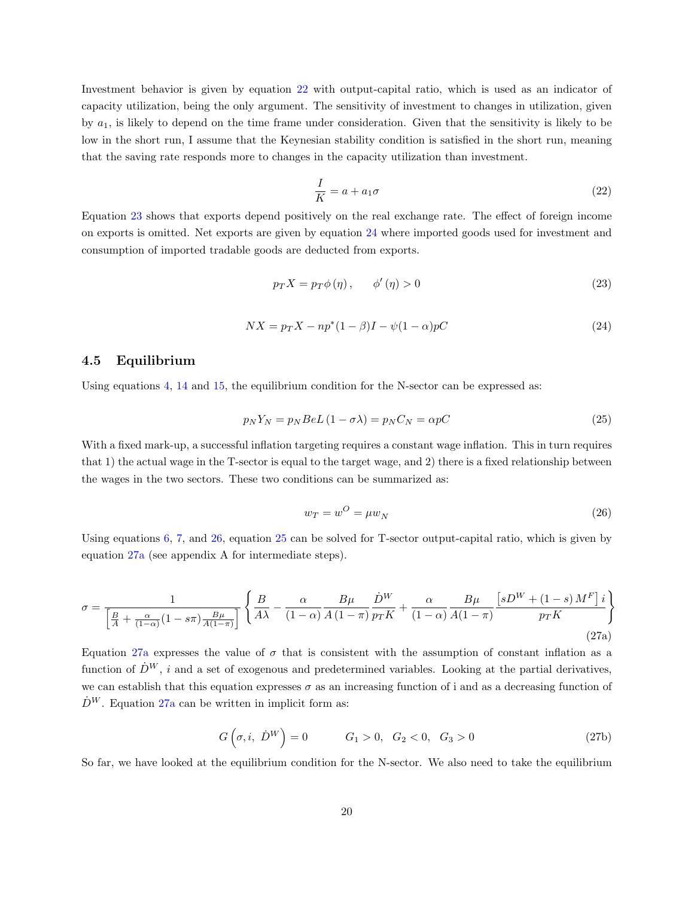Investment behavior is given by equation [22](#page-20-0) with output-capital ratio, which is used as an indicator of capacity utilization, being the only argument. The sensitivity of investment to changes in utilization, given by  $a_1$ , is likely to depend on the time frame under consideration. Given that the sensitivity is likely to be low in the short run, I assume that the Keynesian stability condition is satisfied in the short run, meaning that the saving rate responds more to changes in the capacity utilization than investment.

$$
\frac{I}{K} = a + a_1 \sigma \tag{22}
$$

<span id="page-20-1"></span><span id="page-20-0"></span>Equation [23](#page-20-1) shows that exports depend positively on the real exchange rate. The effect of foreign income on exports is omitted. Net exports are given by equation [24](#page-20-2) where imported goods used for investment and consumption of imported tradable goods are deducted from exports.

$$
p_T X = p_T \phi(\eta), \qquad \phi'(\eta) > 0 \tag{23}
$$

$$
NX = p_T X - np^*(1 - \beta)I - \psi(1 - \alpha)pC
$$
\n<sup>(24)</sup>

#### <span id="page-20-2"></span>4.5 Equilibrium

<span id="page-20-4"></span>Using equations [4,](#page-16-2) [14](#page-18-2) and [15,](#page-19-0) the equilibrium condition for the N-sector can be expressed as:

$$
p_N Y_N = p_N B e L (1 - \sigma \lambda) = p_N C_N = \alpha p C \tag{25}
$$

<span id="page-20-3"></span>With a fixed mark-up, a successful inflation targeting requires a constant wage inflation. This in turn requires that 1) the actual wage in the T-sector is equal to the target wage, and 2) there is a fixed relationship between the wages in the two sectors. These two conditions can be summarized as:

$$
w_T = w^O = \mu w_N \tag{26}
$$

Using equations  $6, 7$  $6, 7$ , and  $26$ , equation  $25$  can be solved for T-sector output-capital ratio, which is given by equation [27a](#page-15-1) (see appendix A for intermediate steps).

$$
\sigma = \frac{1}{\left[\frac{B}{A} + \frac{\alpha}{(1-\alpha)}(1 - s\pi)\frac{B\mu}{A(1-\pi)}\right]} \left\{ \frac{B}{A\lambda} - \frac{\alpha}{(1-\alpha)}\frac{B\mu}{A(1-\pi)}\frac{\dot{D}^W}{p_T K} + \frac{\alpha}{(1-\alpha)}\frac{B\mu}{A(1-\pi)}\frac{\left[sD^W + (1-s)M^F\right]i}{p_T K} \right\}
$$
\n(27a)

Equation [27a](#page-15-1) expresses the value of  $\sigma$  that is consistent with the assumption of constant inflation as a function of  $\dot{D}^W$ , i and a set of exogenous and predetermined variables. Looking at the partial derivatives, we can establish that this equation expresses  $\sigma$  as an increasing function of i and as a decreasing function of  $\dot{D}^W$ . Equation [27a](#page-15-1) can be written in implicit form as:

$$
G(\sigma, i, \dot{D}^W) = 0 \t G_1 > 0, \ G_2 < 0, \ G_3 > 0 \t (27b)
$$

So far, we have looked at the equilibrium condition for the N-sector. We also need to take the equilibrium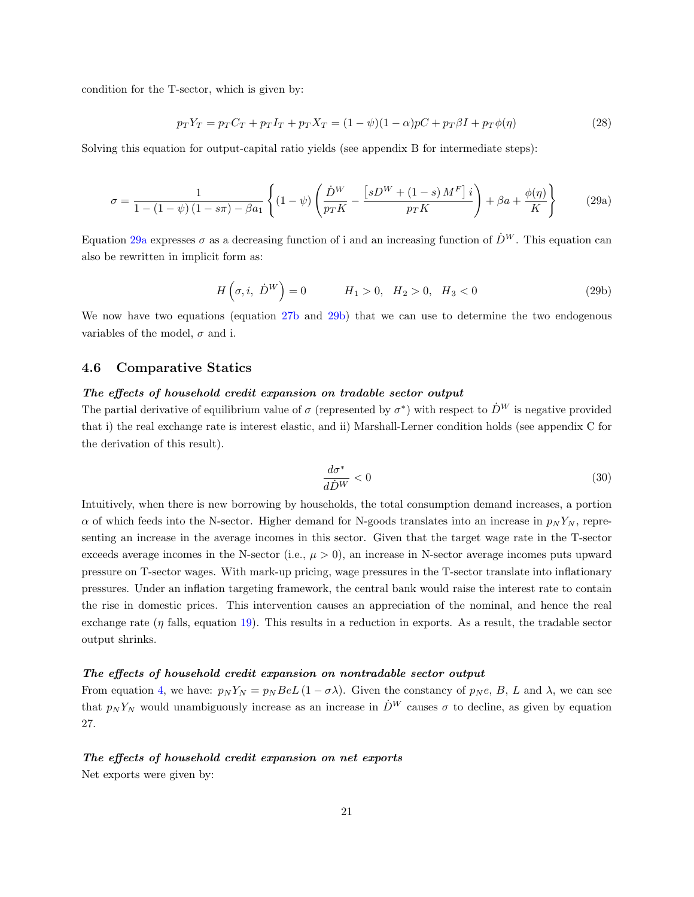condition for the T-sector, which is given by:

$$
p_T Y_T = p_T C_T + p_T I_T + p_T X_T = (1 - \psi)(1 - \alpha)pC + p_T \beta I + p_T \phi(\eta)
$$
\n(28)

Solving this equation for output-capital ratio yields (see appendix B for intermediate steps):

$$
\sigma = \frac{1}{1 - (1 - \psi)(1 - s\pi) - \beta a_1} \left\{ (1 - \psi) \left( \frac{\dot{D}^W}{p_T K} - \frac{\left[ sD^W + (1 - s) M^F \right] i}{p_T K} \right) + \beta a + \frac{\phi(\eta)}{K} \right\} \tag{29a}
$$

Equation [29a](#page-15-1) expresses  $\sigma$  as a decreasing function of i and an increasing function of  $\dot{D}^W$ . This equation can also be rewritten in implicit form as:

$$
H\left(\sigma, i, \ \dot{D}^W\right) = 0 \qquad H_1 > 0, \ H_2 > 0, \ H_3 < 0 \tag{29b}
$$

We now have two equations (equation [27b](#page-16-0) and [29b\)](#page-16-0) that we can use to determine the two endogenous variables of the model,  $\sigma$  and i.

#### 4.6 Comparative Statics

#### The effects of household credit expansion on tradable sector output

The partial derivative of equilibrium value of  $\sigma$  (represented by  $\sigma^*$ ) with respect to  $\dot{D}^W$  is negative provided that i) the real exchange rate is interest elastic, and ii) Marshall-Lerner condition holds (see appendix C for the derivation of this result).

$$
\frac{d\sigma^*}{d\dot{D}^W} < 0\tag{30}
$$

Intuitively, when there is new borrowing by households, the total consumption demand increases, a portion  $\alpha$  of which feeds into the N-sector. Higher demand for N-goods translates into an increase in  $p_N Y_N$ , representing an increase in the average incomes in this sector. Given that the target wage rate in the T-sector exceeds average incomes in the N-sector (i.e.,  $\mu > 0$ ), an increase in N-sector average incomes puts upward pressure on T-sector wages. With mark-up pricing, wage pressures in the T-sector translate into inflationary pressures. Under an inflation targeting framework, the central bank would raise the interest rate to contain the rise in domestic prices. This intervention causes an appreciation of the nominal, and hence the real exchange rate  $(\eta$  falls, equation [19\)](#page-19-3). This results in a reduction in exports. As a result, the tradable sector output shrinks.

#### The effects of household credit expansion on nontradable sector output

From equation [4,](#page-16-2) we have:  $p_N Y_N = p_N B e L (1 - \sigma \lambda)$ . Given the constancy of  $p_N e$ , B, L and  $\lambda$ , we can see that  $p_N Y_N$  would unambiguously increase as an increase in  $\dot{D}^W$  causes  $\sigma$  to decline, as given by equation 27.

#### The effects of household credit expansion on net exports

Net exports were given by: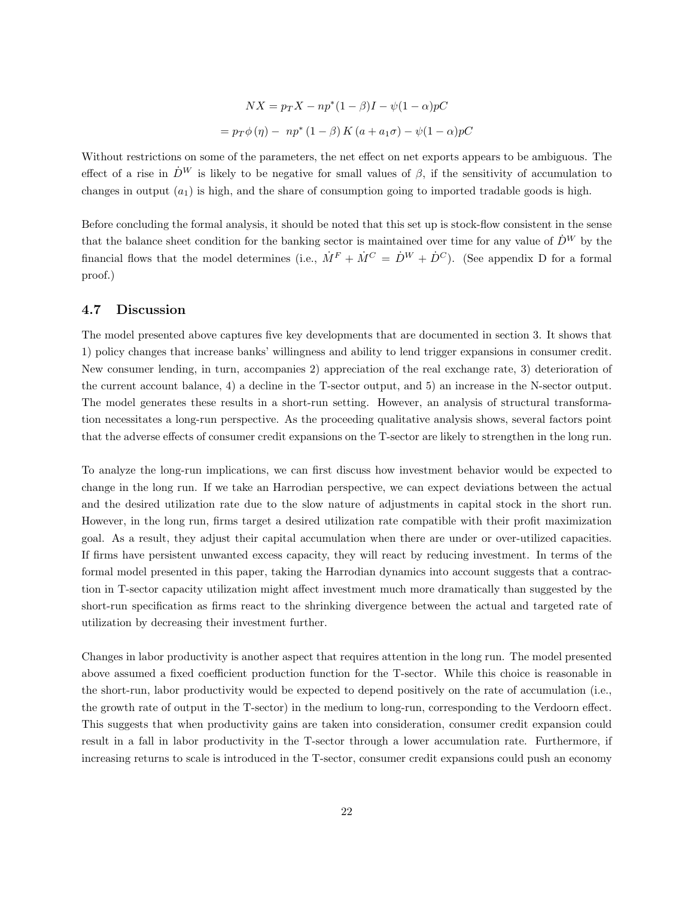$$
NX = p_T X - np^*(1 - \beta)I - \psi(1 - \alpha)pC
$$

$$
= p_T \phi(\eta) - np^*(1 - \beta) K (a + a_1 \sigma) - \psi(1 - \alpha)pC
$$

Without restrictions on some of the parameters, the net effect on net exports appears to be ambiguous. The effect of a rise in  $\dot{D}^W$  is likely to be negative for small values of  $\beta$ , if the sensitivity of accumulation to changes in output  $(a_1)$  is high, and the share of consumption going to imported tradable goods is high.

Before concluding the formal analysis, it should be noted that this set up is stock-flow consistent in the sense that the balance sheet condition for the banking sector is maintained over time for any value of  $\dot{D}^W$  by the financial flows that the model determines (i.e.,  $\dot{M}^F + \dot{M}^C = \dot{D}^W + \dot{D}^C$ ). (See appendix D for a formal proof.)

#### 4.7 Discussion

The model presented above captures five key developments that are documented in section 3. It shows that 1) policy changes that increase banks' willingness and ability to lend trigger expansions in consumer credit. New consumer lending, in turn, accompanies 2) appreciation of the real exchange rate, 3) deterioration of the current account balance, 4) a decline in the T-sector output, and 5) an increase in the N-sector output. The model generates these results in a short-run setting. However, an analysis of structural transformation necessitates a long-run perspective. As the proceeding qualitative analysis shows, several factors point that the adverse effects of consumer credit expansions on the T-sector are likely to strengthen in the long run.

To analyze the long-run implications, we can first discuss how investment behavior would be expected to change in the long run. If we take an Harrodian perspective, we can expect deviations between the actual and the desired utilization rate due to the slow nature of adjustments in capital stock in the short run. However, in the long run, firms target a desired utilization rate compatible with their profit maximization goal. As a result, they adjust their capital accumulation when there are under or over-utilized capacities. If firms have persistent unwanted excess capacity, they will react by reducing investment. In terms of the formal model presented in this paper, taking the Harrodian dynamics into account suggests that a contraction in T-sector capacity utilization might affect investment much more dramatically than suggested by the short-run specification as firms react to the shrinking divergence between the actual and targeted rate of utilization by decreasing their investment further.

Changes in labor productivity is another aspect that requires attention in the long run. The model presented above assumed a fixed coefficient production function for the T-sector. While this choice is reasonable in the short-run, labor productivity would be expected to depend positively on the rate of accumulation (i.e., the growth rate of output in the T-sector) in the medium to long-run, corresponding to the Verdoorn effect. This suggests that when productivity gains are taken into consideration, consumer credit expansion could result in a fall in labor productivity in the T-sector through a lower accumulation rate. Furthermore, if increasing returns to scale is introduced in the T-sector, consumer credit expansions could push an economy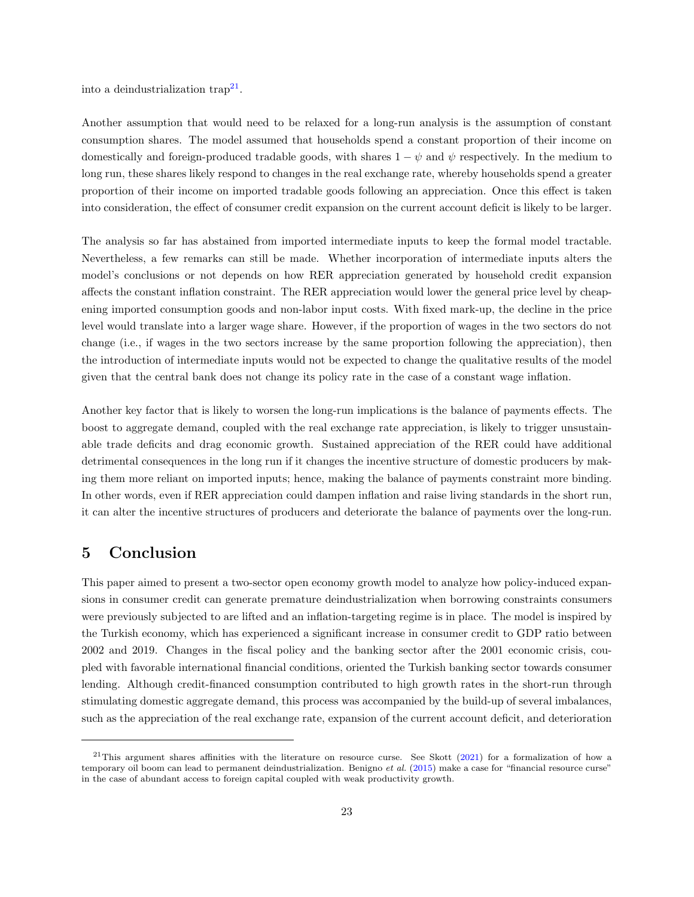into a deindustrialization  $\text{trap}^{21}$  $\text{trap}^{21}$  $\text{trap}^{21}$ .

Another assumption that would need to be relaxed for a long-run analysis is the assumption of constant consumption shares. The model assumed that households spend a constant proportion of their income on domestically and foreign-produced tradable goods, with shares  $1 - \psi$  and  $\psi$  respectively. In the medium to long run, these shares likely respond to changes in the real exchange rate, whereby households spend a greater proportion of their income on imported tradable goods following an appreciation. Once this effect is taken into consideration, the effect of consumer credit expansion on the current account deficit is likely to be larger.

The analysis so far has abstained from imported intermediate inputs to keep the formal model tractable. Nevertheless, a few remarks can still be made. Whether incorporation of intermediate inputs alters the model's conclusions or not depends on how RER appreciation generated by household credit expansion affects the constant inflation constraint. The RER appreciation would lower the general price level by cheapening imported consumption goods and non-labor input costs. With fixed mark-up, the decline in the price level would translate into a larger wage share. However, if the proportion of wages in the two sectors do not change (i.e., if wages in the two sectors increase by the same proportion following the appreciation), then the introduction of intermediate inputs would not be expected to change the qualitative results of the model given that the central bank does not change its policy rate in the case of a constant wage inflation.

Another key factor that is likely to worsen the long-run implications is the balance of payments effects. The boost to aggregate demand, coupled with the real exchange rate appreciation, is likely to trigger unsustainable trade deficits and drag economic growth. Sustained appreciation of the RER could have additional detrimental consequences in the long run if it changes the incentive structure of domestic producers by making them more reliant on imported inputs; hence, making the balance of payments constraint more binding. In other words, even if RER appreciation could dampen inflation and raise living standards in the short run, it can alter the incentive structures of producers and deteriorate the balance of payments over the long-run.

### 5 Conclusion

This paper aimed to present a two-sector open economy growth model to analyze how policy-induced expansions in consumer credit can generate premature deindustrialization when borrowing constraints consumers were previously subjected to are lifted and an inflation-targeting regime is in place. The model is inspired by the Turkish economy, which has experienced a significant increase in consumer credit to GDP ratio between 2002 and 2019. Changes in the fiscal policy and the banking sector after the 2001 economic crisis, coupled with favorable international financial conditions, oriented the Turkish banking sector towards consumer lending. Although credit-financed consumption contributed to high growth rates in the short-run through stimulating domestic aggregate demand, this process was accompanied by the build-up of several imbalances, such as the appreciation of the real exchange rate, expansion of the current account deficit, and deterioration

<sup>&</sup>lt;sup>21</sup>This argument shares affinities with the literature on resource curse. See Skott  $(2021)$  for a formalization of how a temporary oil boom can lead to permanent deindustrialization. Benigno et al.  $(2015)$  make a case for "financial resource curse" in the case of abundant access to foreign capital coupled with weak productivity growth.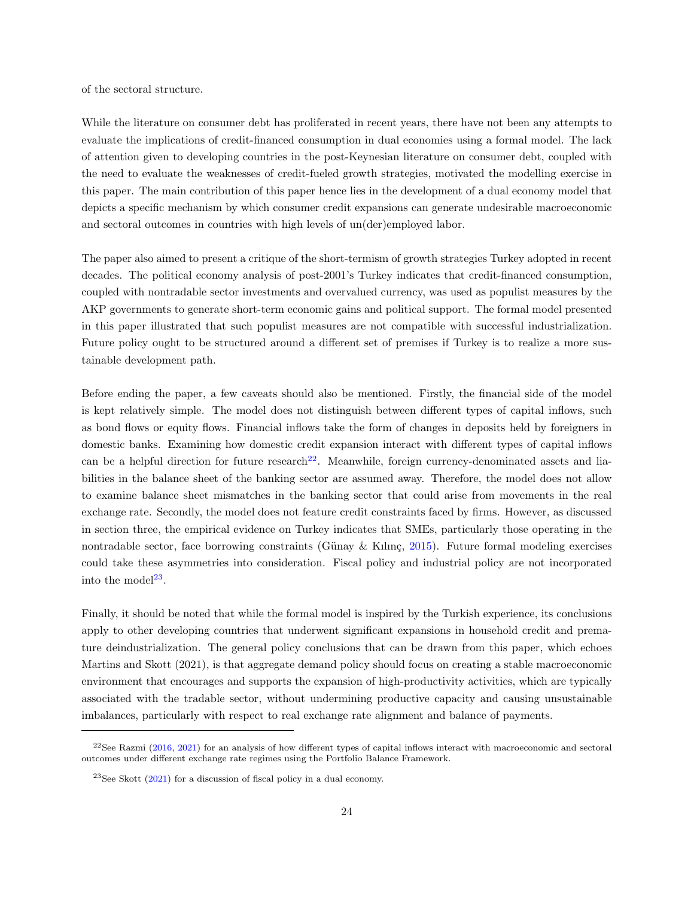of the sectoral structure.

While the literature on consumer debt has proliferated in recent years, there have not been any attempts to evaluate the implications of credit-financed consumption in dual economies using a formal model. The lack of attention given to developing countries in the post-Keynesian literature on consumer debt, coupled with the need to evaluate the weaknesses of credit-fueled growth strategies, motivated the modelling exercise in this paper. The main contribution of this paper hence lies in the development of a dual economy model that depicts a specific mechanism by which consumer credit expansions can generate undesirable macroeconomic and sectoral outcomes in countries with high levels of un(der)employed labor.

The paper also aimed to present a critique of the short-termism of growth strategies Turkey adopted in recent decades. The political economy analysis of post-2001's Turkey indicates that credit-financed consumption, coupled with nontradable sector investments and overvalued currency, was used as populist measures by the AKP governments to generate short-term economic gains and political support. The formal model presented in this paper illustrated that such populist measures are not compatible with successful industrialization. Future policy ought to be structured around a different set of premises if Turkey is to realize a more sustainable development path.

Before ending the paper, a few caveats should also be mentioned. Firstly, the financial side of the model is kept relatively simple. The model does not distinguish between different types of capital inflows, such as bond flows or equity flows. Financial inflows take the form of changes in deposits held by foreigners in domestic banks. Examining how domestic credit expansion interact with different types of capital inflows can be a helpful direction for future research<sup>[22](#page-1-0)</sup>. Meanwhile, foreign currency-denominated assets and liabilities in the balance sheet of the banking sector are assumed away. Therefore, the model does not allow to examine balance sheet mismatches in the banking sector that could arise from movements in the real exchange rate. Secondly, the model does not feature credit constraints faced by firms. However, as discussed in section three, the empirical evidence on Turkey indicates that SMEs, particularly those operating in the nontradable sector, face borrowing constraints (Günay & Kılınç, [2015\)](#page-30-18). Future formal modeling exercises could take these asymmetries into consideration. Fiscal policy and industrial policy are not incorporated into the model<sup>[23](#page-1-0)</sup>.

Finally, it should be noted that while the formal model is inspired by the Turkish experience, its conclusions apply to other developing countries that underwent significant expansions in household credit and premature deindustrialization. The general policy conclusions that can be drawn from this paper, which echoes Martins and Skott (2021), is that aggregate demand policy should focus on creating a stable macroeconomic environment that encourages and supports the expansion of high-productivity activities, which are typically associated with the tradable sector, without undermining productive capacity and causing unsustainable imbalances, particularly with respect to real exchange rate alignment and balance of payments.

 $22$ See Razmi [\(2016,](#page-31-18) [2021\)](#page-31-19) for an analysis of how different types of capital inflows interact with macroeconomic and sectoral outcomes under different exchange rate regimes using the Portfolio Balance Framework.

 $23$ See Skott [\(2021\)](#page-32-0) for a discussion of fiscal policy in a dual economy.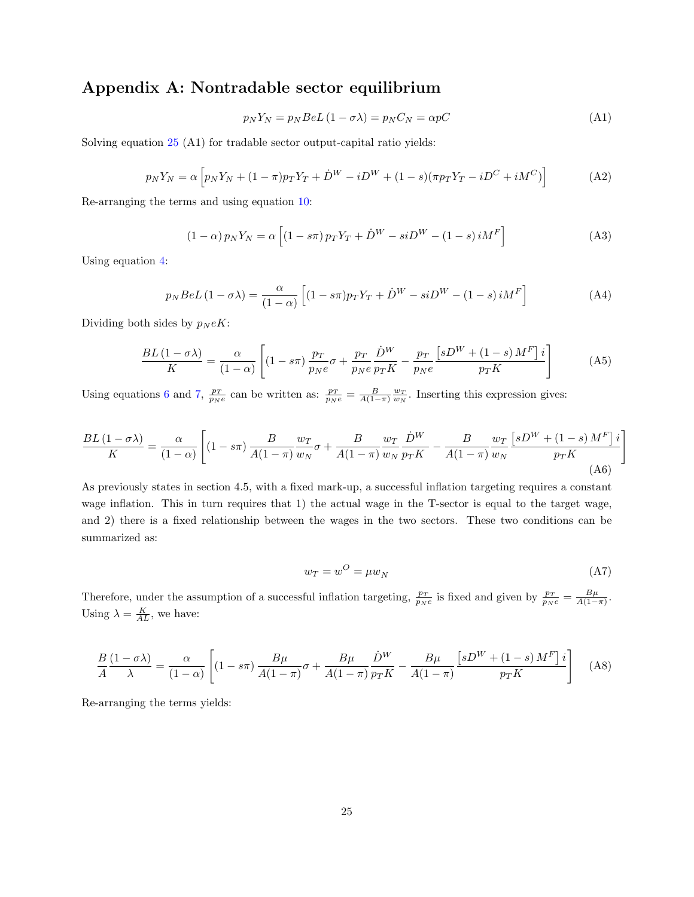## Appendix A: Nontradable sector equilibrium

$$
p_N Y_N = p_N B e L (1 - \sigma \lambda) = p_N C_N = \alpha p C \tag{A1}
$$

Solving equation [25](#page-20-4) (A1) for tradable sector output-capital ratio yields:

$$
p_N Y_N = \alpha \left[ p_N Y_N + (1 - \pi) p_T Y_T + \dot{D}^W - i D^W + (1 - s) (\pi p_T Y_T - i D^C + i M^C) \right]
$$
(A2)

Re-arranging the terms and using equation [10:](#page-17-1)

$$
(1 - \alpha) p_N Y_N = \alpha \left[ (1 - s\pi) p_T Y_T + \dot{D}^W - siD^W - (1 - s) iM^F \right]
$$
\n(A3)

Using equation [4:](#page-16-2)

$$
p_N B e L (1 - \sigma \lambda) = \frac{\alpha}{(1 - \alpha)} \left[ (1 - s\pi) p_T Y_T + \dot{D}^W - s i D^W - (1 - s) i M^F \right]
$$
(A4)

Dividing both sides by  $p_N eK$ :

$$
\frac{BL\left(1-\sigma\lambda\right)}{K} = \frac{\alpha}{\left(1-\alpha\right)} \left[ \left(1-s\pi\right) \frac{p_T}{p_N e} \sigma + \frac{p_T}{p_N e} \frac{\dot{D}^W}{p_T K} - \frac{p_T}{p_N e} \frac{\left[sD^W + \left(1-s\right)M^F\right] i}{p_T K} \right] \tag{A5}
$$

Using equations [6](#page-16-3) and [7,](#page-16-4)  $\frac{p_T}{p_N e}$  can be written as:  $\frac{p_T}{p_N e} = \frac{B}{A(1-\pi)} \frac{w_T}{w_N}$ . Inserting this expression gives:

$$
\frac{BL\left(1-\sigma\lambda\right)}{K} = \frac{\alpha}{\left(1-\alpha\right)} \left[ \left(1-s\pi\right) \frac{B}{A(1-\pi)} \frac{w_T}{w_N} \sigma + \frac{B}{A(1-\pi)} \frac{w_T}{w_N} \frac{\dot{D}^W}{p_T K} - \frac{B}{A(1-\pi)} \frac{w_T}{w_N} \frac{\left[sD^W + \left(1-s\right)M^F\right]i}{p_T K} \right] \right]
$$
\n(A6)

As previously states in section 4.5, with a fixed mark-up, a successful inflation targeting requires a constant wage inflation. This in turn requires that 1) the actual wage in the T-sector is equal to the target wage, and 2) there is a fixed relationship between the wages in the two sectors. These two conditions can be summarized as:

$$
w_T = w^O = \mu w_N \tag{A7}
$$

Therefore, under the assumption of a successful inflation targeting,  $\frac{p_T}{p_N e}$  is fixed and given by  $\frac{p_T}{p_N e} = \frac{B\mu}{A(1-\pi)}$ . Using  $\lambda = \frac{K}{AL}$ , we have:

$$
\frac{B}{A} \frac{(1-\sigma\lambda)}{\lambda} = \frac{\alpha}{(1-\alpha)} \left[ (1-s\pi) \frac{B\mu}{A(1-\pi)}\sigma + \frac{B\mu}{A(1-\pi)} \frac{\dot{D}^W}{p_T K} - \frac{B\mu}{A(1-\pi)} \frac{\left[ sD^W + (1-s) M^F \right] i}{p_T K} \right] \tag{A8}
$$

Re-arranging the terms yields: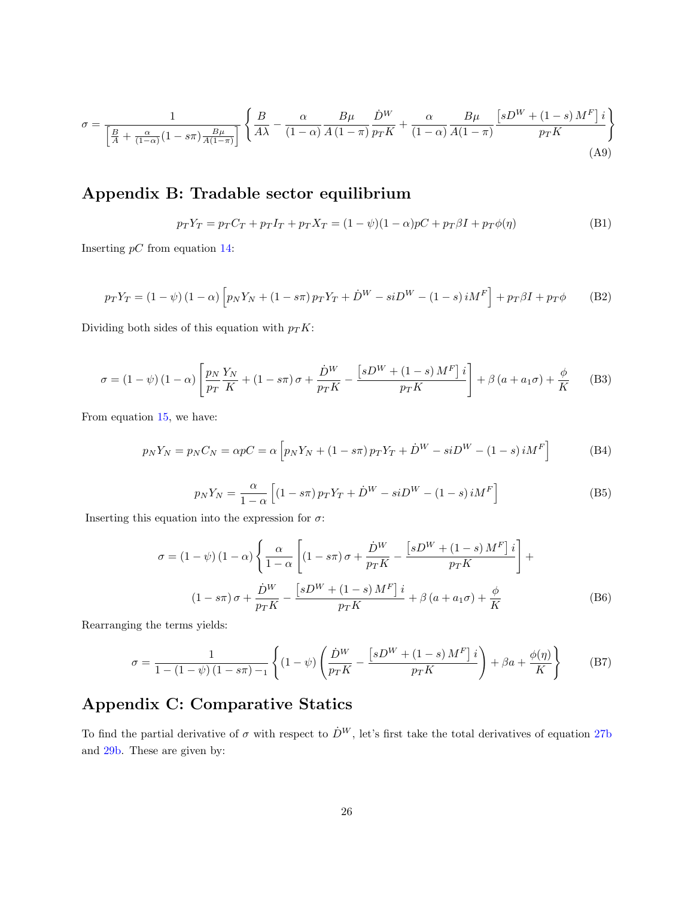$$
\sigma = \frac{1}{\left[\frac{B}{A} + \frac{\alpha}{(1-\alpha)}(1 - s\pi)\frac{B\mu}{A(1-\pi)}\right]} \left\{ \frac{B}{A\lambda} - \frac{\alpha}{(1-\alpha)}\frac{B\mu}{A(1-\pi)}\frac{\dot{D}^W}{p_T K} + \frac{\alpha}{(1-\alpha)}\frac{B\mu}{A(1-\pi)}\frac{\left[sD^W + (1-s)M^F\right]i}{p_T K} \right\}
$$
(A9)

## Appendix B: Tradable sector equilibrium

$$
p_T Y_T = p_T C_T + p_T I_T + p_T X_T = (1 - \psi)(1 - \alpha)pC + p_T \beta I + p_T \phi(\eta)
$$
(B1)

Inserting  $pC$  from equation [14:](#page-18-2)

$$
p_T Y_T = (1 - \psi) (1 - \alpha) \left[ p_N Y_N + (1 - s\pi) p_T Y_T + \dot{D}^W - s i D^W - (1 - s) i M^F \right] + p_T \beta I + p_T \phi \tag{B2}
$$

Dividing both sides of this equation with  $p_T K$ :

$$
\sigma = (1 - \psi)(1 - \alpha) \left[ \frac{p_N}{p_T} \frac{Y_N}{K} + (1 - s\pi)\sigma + \frac{\dot{D}^W}{p_T K} - \frac{\left[ sD^W + (1 - s)M^F \right] i}{p_T K} \right] + \beta \left( a + a_1 \sigma \right) + \frac{\phi}{K}
$$
 (B3)

From equation [15,](#page-19-0) we have:

$$
p_N Y_N = p_N C_N = \alpha p C = \alpha \left[ p_N Y_N + (1 - s\pi) p_T Y_T + \dot{D}^W - s i D^W - (1 - s) i M^F \right]
$$
(B4)

$$
p_N Y_N = \frac{\alpha}{1 - \alpha} \left[ (1 - s\pi) p_T Y_T + \dot{D}^W - s i D^W - (1 - s) i M^F \right]
$$
(B5)

Inserting this equation into the expression for  $\sigma$ :

$$
\sigma = (1 - \psi) (1 - \alpha) \left\{ \frac{\alpha}{1 - \alpha} \left[ (1 - s\pi) \sigma + \frac{\dot{D}^W}{p_T K} - \frac{\left[ sD^W + (1 - s) M^F \right] i}{p_T K} \right] + \frac{\dot{D}^W}{1 - s\pi} \sigma + \frac{\dot{D}^W}{p_T K} - \frac{\left[ sD^W + (1 - s) M^F \right] i}{p_T K} + \beta \left( a + a_1 \sigma \right) + \frac{\phi}{K} \tag{B6}
$$

Rearranging the terms yields:

$$
\sigma = \frac{1}{1 - (1 - \psi)(1 - s\pi) - 1} \left\{ (1 - \psi) \left( \frac{\dot{D}^W}{p_T K} - \frac{\left[ sD^W + (1 - s) M^F \right] i}{p_T K} \right) + \beta a + \frac{\phi(\eta)}{K} \right\} \tag{B7}
$$

## Appendix C: Comparative Statics

To find the partial derivative of  $\sigma$  with respect to  $\dot{D}^W$ , let's first take the total derivatives of equation [27b](#page-16-0) and [29b.](#page-16-0) These are given by: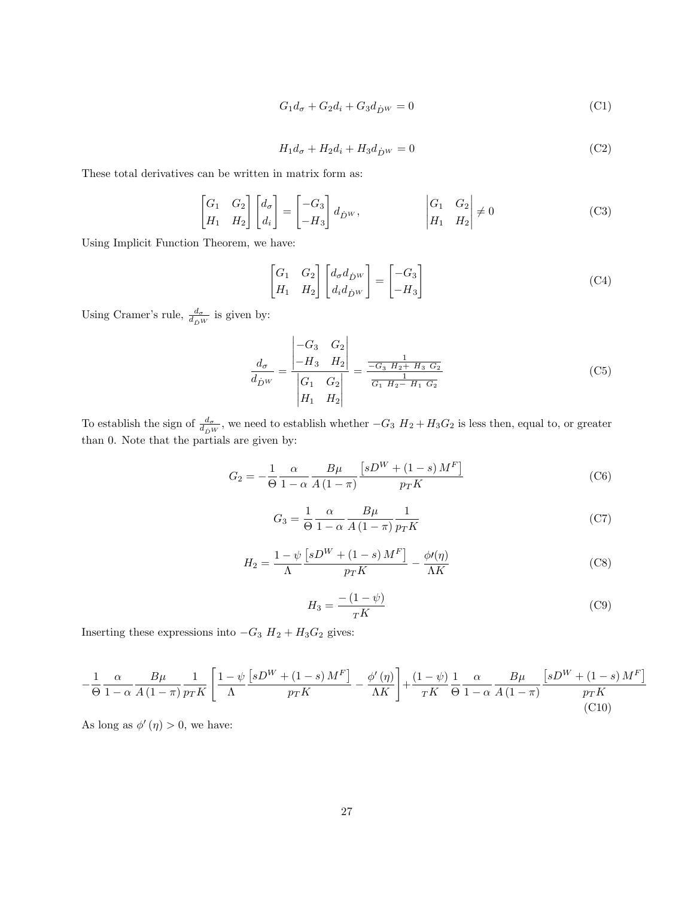$$
G_1 d_{\sigma} + G_2 d_i + G_3 d_{\dot{D}^W} = 0 \tag{C1}
$$

$$
H_1 d_{\sigma} + H_2 d_i + H_3 d_{\dot{D}^W} = 0
$$
\n(C2)

These total derivatives can be written in matrix form as:

$$
\begin{bmatrix} G_1 & G_2 \\ H_1 & H_2 \end{bmatrix} \begin{bmatrix} d_\sigma \\ d_i \end{bmatrix} = \begin{bmatrix} -G_3 \\ -H_3 \end{bmatrix} d_{\dot{D}^W}, \qquad \qquad \begin{vmatrix} G_1 & G_2 \\ H_1 & H_2 \end{vmatrix} \neq 0 \tag{C3}
$$

Using Implicit Function Theorem, we have:

$$
\begin{bmatrix} G_1 & G_2 \ H_1 & H_2 \end{bmatrix} \begin{bmatrix} d_{\sigma} d_{\dot{D}^W} \\ d_i d_{\dot{D}^W} \end{bmatrix} = \begin{bmatrix} -G_3 \\ -H_3 \end{bmatrix}
$$
 (C4)

Using Cramer's rule,  $\frac{d\sigma}{d_D w}$  is given by:

$$
\frac{d_{\sigma}}{d_{\hat{D}W}} = \frac{\begin{vmatrix} -G_3 & G_2 \\ -H_3 & H_2 \end{vmatrix}}{\begin{vmatrix} G_1 & G_2 \\ H_1 & H_2 \end{vmatrix}} = \frac{\frac{1}{-G_3 H_2 + H_3 G_2}}{\frac{1}{G_1 H_2 - H_1 G_2}}
$$
(C5)

To establish the sign of  $\frac{d_{\sigma}}{d_{DW}}$ , we need to establish whether  $-G_3$   $H_2 + H_3G_2$  is less then, equal to, or greater than 0. Note that the partials are given by:

$$
G_2 = -\frac{1}{\Theta} \frac{\alpha}{1 - \alpha} \frac{B\mu}{A(1 - \pi)} \frac{\left[sD^W + (1 - s)M^F\right]}{p_T K}
$$
 (C6)

$$
G_3 = \frac{1}{\Theta} \frac{\alpha}{1 - \alpha} \frac{B\mu}{A(1 - \pi)} \frac{1}{p_T K}
$$
\n(C7)

$$
H_2 = \frac{1 - \psi \left[ sD^W + (1 - s) M^F \right]}{\Lambda} - \frac{\phi \prime(\eta)}{\Lambda K}
$$
(C8)

$$
H_3 = \frac{-(1-\psi)}{T\mathcal{K}}\tag{C9}
$$

Inserting these expressions into  $-G_3 \ H_2 + H_3 G_2$  gives:

$$
-\frac{1}{\Theta} \frac{\alpha}{1-\alpha} \frac{B\mu}{A\left(1-\pi\right)} \frac{1}{p_T K} \left[ \frac{1-\psi \left[ sD^W + \left(1-s\right)M^F \right]}{\Lambda} - \frac{\phi'\left(\eta\right)}{\Lambda K} \right] + \frac{\left(1-\psi\right)}{\tau K} \frac{1}{\Theta} \frac{\alpha}{1-\alpha} \frac{B\mu}{A\left(1-\pi\right)} \frac{\left[ sD^W + \left(1-s\right)M^F \right]}{p_T K} \tag{C10}
$$

As long as  $\phi'(\eta) > 0$ , we have: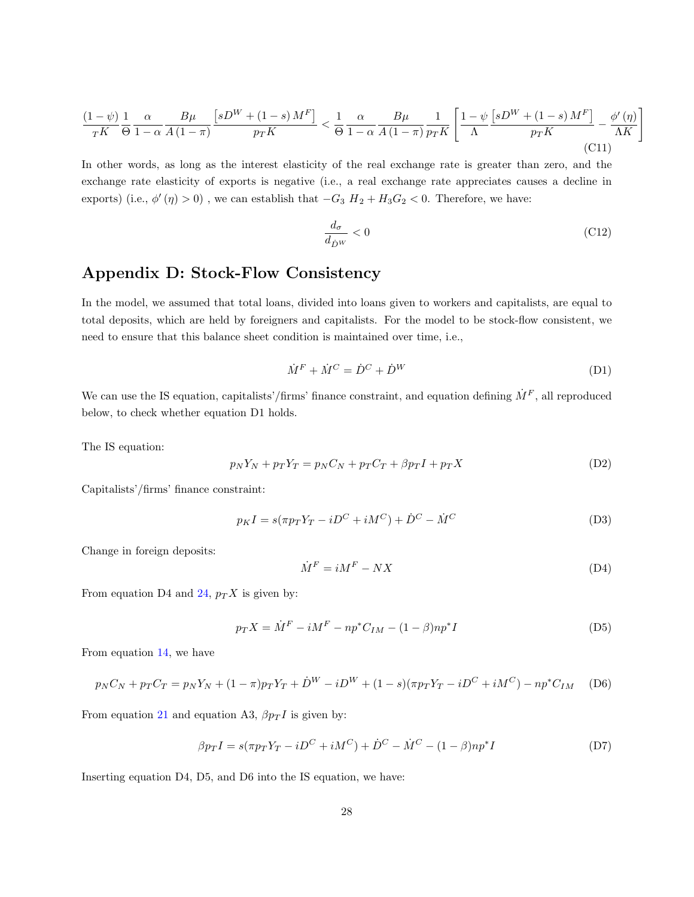$$
\frac{(1-\psi)}{r^K} \frac{1}{\Theta} \frac{\alpha}{1-\alpha} \frac{B\mu}{A(1-\pi)} \frac{\left[sD^W + (1-s)M^F\right]}{p_T K} < \frac{1}{\Theta} \frac{\alpha}{1-\alpha} \frac{B\mu}{A(1-\pi)} \frac{1}{p_T K} \left[ \frac{1-\psi}{\Lambda} \frac{\left[sD^W + (1-s)M^F\right]}{p_T K} - \frac{\phi'(\eta)}{\Lambda K} \right] \tag{C11}
$$

In other words, as long as the interest elasticity of the real exchange rate is greater than zero, and the exchange rate elasticity of exports is negative (i.e., a real exchange rate appreciates causes a decline in exports) (i.e.,  $\phi'(\eta) > 0$ ), we can establish that  $-G_3 H_2 + H_3 G_2 < 0$ . Therefore, we have:

$$
\frac{d_{\sigma}}{d_{\dot{D}W}} < 0 \tag{C12}
$$

1

## Appendix D: Stock-Flow Consistency

In the model, we assumed that total loans, divided into loans given to workers and capitalists, are equal to total deposits, which are held by foreigners and capitalists. For the model to be stock-flow consistent, we need to ensure that this balance sheet condition is maintained over time, i.e.,

$$
\dot{M}^F + \dot{M}^C = \dot{D}^C + \dot{D}^W \tag{D1}
$$

We can use the IS equation, capitalists'/firms' finance constraint, and equation defining  $\dot{M}^F$ , all reproduced below, to check whether equation D1 holds.

The IS equation:

$$
p_N Y_N + p_T Y_T = p_N C_N + p_T C_T + \beta p_T I + p_T X \tag{D2}
$$

Capitalists'/firms' finance constraint:

$$
p_K I = s(\pi p_T Y_T - iD^C + iM^C) + \dot{D}^C - \dot{M}^C
$$
\n(D3)

Change in foreign deposits:

$$
\dot{M}^F = iM^F - NX\tag{D4}
$$

From equation D4 and [24,](#page-20-2)  $p_T X$  is given by:

$$
p_T X = \dot{M}^F - iM^F - np^* C_{IM} - (1 - \beta)np^* I \tag{D5}
$$

From equation [14,](#page-18-2) we have

$$
p_N C_N + p_T C_T = p_N Y_N + (1 - \pi) p_T Y_T + \dot{D}^W - i D^W + (1 - s) (\pi p_T Y_T - i D^C + i M^C) - n p^* C_{IM} \tag{D6}
$$

From equation [21](#page-19-4) and equation A3,  $\beta p_T I$  is given by:

$$
\beta p_T I = s(\pi p_T Y_T - iD^C + iM^C) + \dot{D}^C - \dot{M}^C - (1 - \beta)np^*I
$$
 (D7)

Inserting equation D4, D5, and D6 into the IS equation, we have: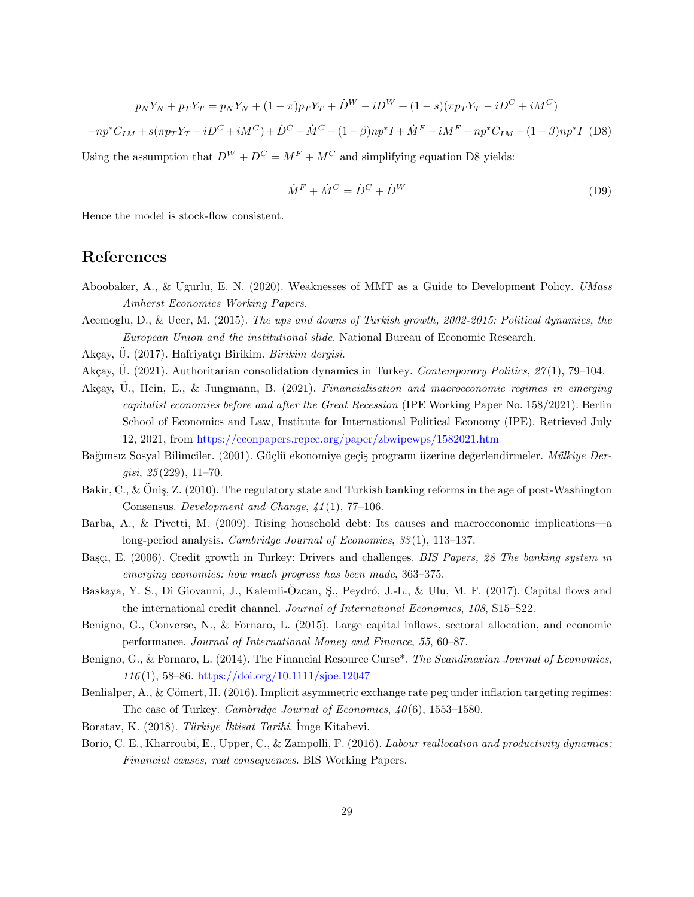$$
p_N Y_N + p_T Y_T = p_N Y_N + (1 - \pi) p_T Y_T + \dot{D}^W - i D^W + (1 - s) (\pi p_T Y_T - i D^C + i M^C)
$$

 $-np^*C_{IM} + s(\pi p_T Y_T - iD^C + iM^C) + \dot{D}^C - \dot{M}^C - (1-\beta)np^*I + \dot{M}^F - iM^F - np^*C_{IM} - (1-\beta)np^*I$  (D8)

Using the assumption that  $D^{W} + D^{C} = M^{F} + M^{C}$  and simplifying equation D8 yields:

$$
\dot{M}^F + \dot{M}^C = \dot{D}^C + \dot{D}^W \tag{D9}
$$

Hence the model is stock-flow consistent.

## References

- <span id="page-29-0"></span>Aboobaker, A., & Ugurlu, E. N. (2020). Weaknesses of MMT as a Guide to Development Policy. UMass Amherst Economics Working Papers.
- <span id="page-29-4"></span>Acemoglu, D., & Ucer, M. (2015). The ups and downs of Turkish growth, 2002-2015: Political dynamics, the European Union and the institutional slide. National Bureau of Economic Research.
- <span id="page-29-12"></span>Akçay, Ü. (2017). Hafriyatçı Birikim. Birikim dergisi.
- <span id="page-29-14"></span>Akçay, U. (2021). Authoritarian consolidation dynamics in Turkey. Contemporary Politics,  $27(1)$ , 79–104.
- <span id="page-29-13"></span>Akcay, U., Hein, E., & Jungmann, B. (2021). Financialisation and macroeconomic regimes in emerging capitalist economies before and after the Great Recession (IPE Working Paper No. 158/2021). Berlin School of Economics and Law, Institute for International Political Economy (IPE). Retrieved July 12, 2021, from <https://econpapers.repec.org/paper/zbwipewps/1582021.htm>
- <span id="page-29-10"></span>Bağımsız Sosyal Bilimciler. (2001). Güçlü ekonomiye geçiş programı üzerine değerlendirmeler. Mülkiye Dergisi, 25 (229), 11–70.
- <span id="page-29-1"></span>Bakir, C., & Öniş, Z. (2010). The regulatory state and Turkish banking reforms in the age of post-Washington Consensus. Development and Change, 41 (1), 77–106.
- <span id="page-29-5"></span>Barba, A., & Pivetti, M. (2009). Rising household debt: Its causes and macroeconomic implications—a long-period analysis. Cambridge Journal of Economics, 33(1), 113–137.
- <span id="page-29-6"></span>Başçı, E. (2006). Credit growth in Turkey: Drivers and challenges. BIS Papers, 28 The banking system in emerging economies: how much progress has been made, 363–375.
- <span id="page-29-11"></span>Baskaya, Y. S., Di Giovanni, J., Kalemli-Özcan, S., Peydró, J.-L., & Ulu, M. F. (2017). Capital flows and the international credit channel. Journal of International Economics, 108, S15–S22.
- <span id="page-29-7"></span>Benigno, G., Converse, N., & Fornaro, L. (2015). Large capital inflows, sectoral allocation, and economic performance. Journal of International Money and Finance, 55, 60–87.
- <span id="page-29-9"></span>Benigno, G., & Fornaro, L. (2014). The Financial Resource Curse<sup>\*</sup>. The Scandinavian Journal of Economics, 116 (1), 58–86. <https://doi.org/10.1111/sjoe.12047>
- <span id="page-29-2"></span>Benlialper, A., & Cömert, H. (2016). Implicit asymmetric exchange rate peg under inflation targeting regimes: The case of Turkey. Cambridge Journal of Economics,  $40(6)$ , 1553-1580.
- <span id="page-29-3"></span>Boratav, K. (2018). Türkiye İktisat Tarihi. İmge Kitabevi.
- <span id="page-29-8"></span>Borio, C. E., Kharroubi, E., Upper, C., & Zampolli, F. (2016). Labour reallocation and productivity dynamics: Financial causes, real consequences. BIS Working Papers.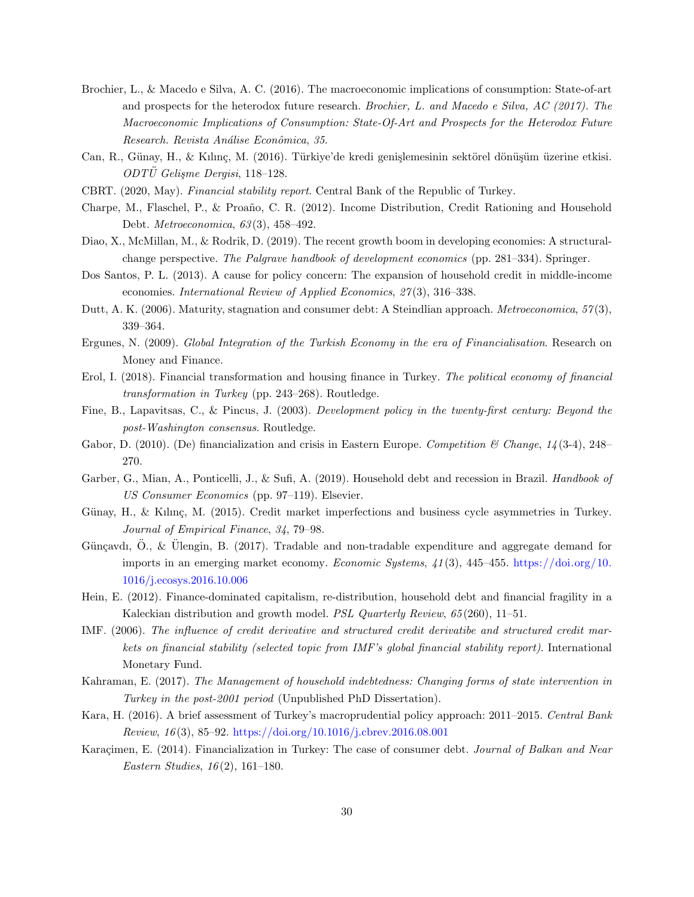- <span id="page-30-8"></span>Brochier, L., & Macedo e Silva, A. C. (2016). The macroeconomic implications of consumption: State-of-art and prospects for the heterodox future research. Brochier, L. and Macedo e Silva, AC (2017). The Macroeconomic Implications of Consumption: State-Of-Art and Prospects for the Heterodox Future Research. Revista Análise Econômica, 35.
- <span id="page-30-17"></span>Can, R., Günay, H., & Kılınç, M. (2016). Türkiye'de kredi genişlemesinin sektörel dönüşüm üzerine etkisi.  $ODT\ddot{U}$  Gelisme Dergisi, 118-128.
- <span id="page-30-13"></span>CBRT. (2020, May). Financial stability report. Central Bank of the Republic of Turkey.
- <span id="page-30-9"></span>Charpe, M., Flaschel, P., & Proaño, C. R. (2012). Income Distribution, Credit Rationing and Household Debt. Metroeconomica, 63 (3), 458–492.
- <span id="page-30-10"></span>Diao, X., McMillan, M., & Rodrik, D. (2019). The recent growth boom in developing economies: A structuralchange perspective. The Palgrave handbook of development economics (pp. 281–334). Springer.
- <span id="page-30-1"></span>Dos Santos, P. L. (2013). A cause for policy concern: The expansion of household credit in middle-income economies. International Review of Applied Economics, 27(3), 316-338.
- <span id="page-30-7"></span>Dutt, A. K. (2006). Maturity, stagnation and consumer debt: A Steindlian approach. *Metroeconomica*, 57(3), 339–364.
- <span id="page-30-11"></span>Ergunes, N. (2009). Global Integration of the Turkish Economy in the era of Financialisation. Research on Money and Finance.
- <span id="page-30-15"></span>Erol, I. (2018). Financial transformation and housing finance in Turkey. The political economy of financial transformation in Turkey (pp. 243–268). Routledge.
- <span id="page-30-0"></span>Fine, B., Lapavitsas, C., & Pincus, J. (2003). Development policy in the twenty-first century: Beyond the post-Washington consensus. Routledge.
- <span id="page-30-3"></span>Gabor, D. (2010). (De) financialization and crisis in Eastern Europe. Competition & Change,  $14(3-4)$ , 248– 270.
- <span id="page-30-4"></span>Garber, G., Mian, A., Ponticelli, J., & Sufi, A. (2019). Household debt and recession in Brazil. Handbook of US Consumer Economics (pp. 97–119). Elsevier.
- <span id="page-30-18"></span>Günay, H., & Kılınç, M. (2015). Credit market imperfections and business cycle asymmetries in Turkey. Journal of Empirical Finance, 34, 79–98.
- <span id="page-30-16"></span>Günçavdı, Ö., & Ülengin, B. (2017). Tradable and non-tradable expenditure and aggregate demand for imports in an emerging market economy. Economic Systems,  $41(3)$ , 445–455. [https://doi.org/10.](https://doi.org/10.1016/j.ecosys.2016.10.006) [1016/j.ecosys.2016.10.006](https://doi.org/10.1016/j.ecosys.2016.10.006)
- <span id="page-30-2"></span>Hein, E. (2012). Finance-dominated capitalism, re-distribution, household debt and financial fragility in a Kaleckian distribution and growth model. PSL Quarterly Review, 65 (260), 11–51.
- <span id="page-30-5"></span>IMF. (2006). The influence of credit derivative and structured credit derivatibe and structured credit markets on financial stability (selected topic from IMF's global financial stability report). International Monetary Fund.
- <span id="page-30-14"></span>Kahraman, E. (2017). The Management of household indebtedness: Changing forms of state intervention in Turkey in the post-2001 period (Unpublished PhD Dissertation).
- <span id="page-30-12"></span>Kara, H. (2016). A brief assessment of Turkey's macroprudential policy approach: 2011–2015. Central Bank Review, 16 (3), 85–92. <https://doi.org/10.1016/j.cbrev.2016.08.001>
- <span id="page-30-6"></span>Karaçimen, E. (2014). Financialization in Turkey: The case of consumer debt. Journal of Balkan and Near Eastern Studies,  $16(2)$ , 161-180.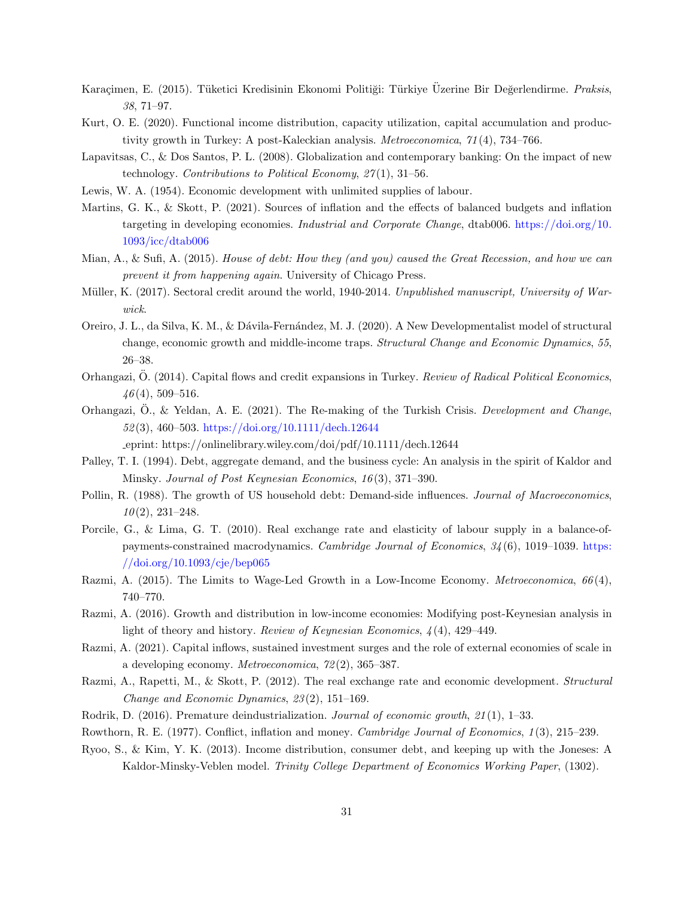- <span id="page-31-12"></span>Karacimen, E. (2015). Tüketici Kredisinin Ekonomi Politiği: Türkiye Üzerine Bir Değerlendirme. Praksis, 38, 71–97.
- <span id="page-31-5"></span>Kurt, O. E. (2020). Functional income distribution, capacity utilization, capital accumulation and productivity growth in Turkey: A post-Kaleckian analysis. Metroeconomica, 71 (4), 734–766.
- <span id="page-31-11"></span>Lapavitsas, C., & Dos Santos, P. L. (2008). Globalization and contemporary banking: On the impact of new technology. Contributions to Political Economy,  $27(1)$ , 31-56.
- <span id="page-31-15"></span>Lewis, W. A. (1954). Economic development with unlimited supplies of labour.
- <span id="page-31-4"></span>Martins, G. K., & Skott, P. (2021). Sources of inflation and the effects of balanced budgets and inflation targeting in developing economies. Industrial and Corporate Change, dtab006. [https://doi.org/10.](https://doi.org/10.1093/icc/dtab006) [1093/icc/dtab006](https://doi.org/10.1093/icc/dtab006)
- <span id="page-31-1"></span>Mian, A., & Sufi, A. (2015). House of debt: How they (and you) caused the Great Recession, and how we can prevent it from happening again. University of Chicago Press.
- <span id="page-31-0"></span>Müller, K. (2017). Sectoral credit around the world, 1940-2014. Unpublished manuscript, University of Warwick.
- <span id="page-31-9"></span>Oreiro, J. L., da Silva, K. M., & D´avila-Fern´andez, M. J. (2020). A New Developmentalist model of structural change, economic growth and middle-income traps. Structural Change and Economic Dynamics, 55, 26–38.
- <span id="page-31-13"></span>Orhangazi, O. (2014). Capital flows and credit expansions in Turkey. Review of Radical Political Economics,  $46(4)$ , 509-516.
- <span id="page-31-3"></span>Orhangazi, O., & Yeldan, A. E. (2021). The Re-making of the Turkish Crisis. Development and Change, 52 (3), 460–503. <https://doi.org/10.1111/dech.12644>

eprint: https://onlinelibrary.wiley.com/doi/pdf/10.1111/dech.12644

- <span id="page-31-7"></span>Palley, T. I. (1994). Debt, aggregate demand, and the business cycle: An analysis in the spirit of Kaldor and Minsky. Journal of Post Keynesian Economics, 16 (3), 371–390.
- <span id="page-31-8"></span>Pollin, R. (1988). The growth of US household debt: Demand-side influences. Journal of Macroeconomics,  $10(2)$ , 231-248.
- <span id="page-31-17"></span>Porcile, G., & Lima, G. T. (2010). Real exchange rate and elasticity of labour supply in a balance-ofpayments-constrained macrodynamics. Cambridge Journal of Economics, 34(6), 1019-1039. [https:](https://doi.org/10.1093/cje/bep065) [//doi.org/10.1093/cje/bep065](https://doi.org/10.1093/cje/bep065)
- <span id="page-31-10"></span>Razmi, A. (2015). The Limits to Wage-Led Growth in a Low-Income Economy. *Metroeconomica*,  $66(4)$ , 740–770.
- <span id="page-31-18"></span>Razmi, A. (2016). Growth and distribution in low-income economies: Modifying post-Keynesian analysis in light of theory and history. Review of Keynesian Economics,  $\mathcal{A}(4)$ , 429–449.
- <span id="page-31-19"></span>Razmi, A. (2021). Capital inflows, sustained investment surges and the role of external economies of scale in a developing economy. Metroeconomica, 72 (2), 365–387.
- <span id="page-31-14"></span>Razmi, A., Rapetti, M., & Skott, P. (2012). The real exchange rate and economic development. Structural Change and Economic Dynamics, 23 (2), 151–169.
- <span id="page-31-2"></span>Rodrik, D. (2016). Premature deindustrialization. Journal of economic growth, 21(1), 1–33.
- <span id="page-31-16"></span>Rowthorn, R. E. (1977). Conflict, inflation and money. Cambridge Journal of Economics, 1(3), 215–239.
- <span id="page-31-6"></span>Ryoo, S., & Kim, Y. K. (2013). Income distribution, consumer debt, and keeping up with the Joneses: A Kaldor-Minsky-Veblen model. Trinity College Department of Economics Working Paper, (1302).